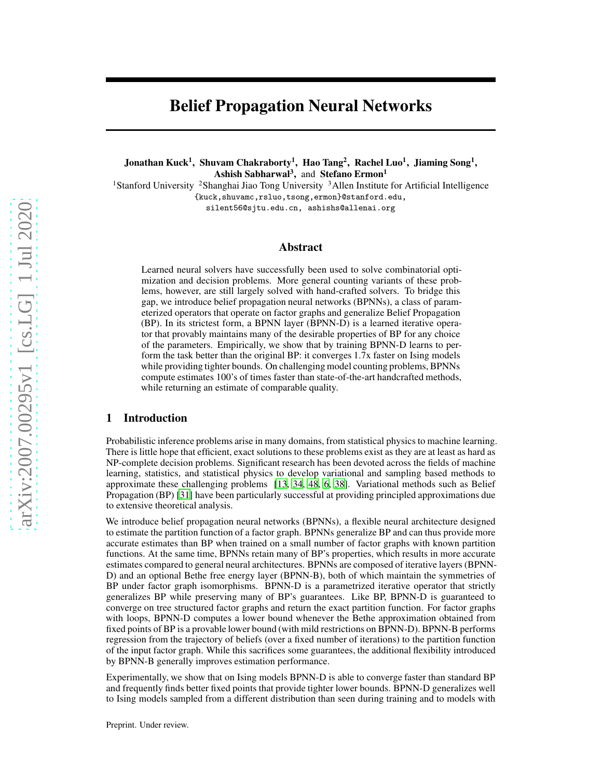# Belief Propagation Neural Networks

Jonathan Kuck<sup>1</sup>, Shuvam Chakraborty<sup>1</sup>, Hao Tang<sup>2</sup>, Rachel Luo<sup>1</sup>, Jiaming Song<sup>1</sup>, Ashish Sabharwal<sup>3</sup>, and Stefano Ermon<sup>1</sup>

<sup>1</sup>Stanford University <sup>2</sup>Shanghai Jiao Tong University <sup>3</sup>Allen Institute for Artificial Intelligence {kuck,shuvamc,rsluo,tsong,ermon}@stanford.edu,

silent56@sjtu.edu.cn, ashishs@allenai.org

# Abstract

Learned neural solvers have successfully been used to solve combinatorial optimization and decision problems. More general counting variants of these problems, however, are still largely solved with hand-crafted solvers. To bridge this gap, we introduce belief propagation neural networks (BPNNs), a class of parameterized operators that operate on factor graphs and generalize Belief Propagation (BP). In its strictest form, a BPNN layer (BPNN-D) is a learned iterative operator that provably maintains many of the desirable properties of BP for any choice of the parameters. Empirically, we show that by training BPNN-D learns to perform the task better than the original BP: it converges 1.7x faster on Ising models while providing tighter bounds. On challenging model counting problems, BPNNs compute estimates 100's of times faster than state-of-the-art handcrafted methods, while returning an estimate of comparable quality.

### 1 Introduction

Probabilistic inference problems arise in many domains, from statistical physics to machine learning. There is little hope that efficient, exact solutions to these problems exist as they are at least as hard as NP-complete decision problems. Significant research has been devoted across the fields of machine learning, statistics, and statistical physics to develop variational and sampling based methods to approximate these challenging problems [\[13](#page-9-0), [34,](#page-10-0) [48,](#page-11-0) [6,](#page-9-1) [38\]](#page-11-1). Variational methods such as Belief Propagation (BP) [\[31\]](#page-10-1) have been particularly successful at providing principled approximations due to extensive theoretical analysis.

We introduce belief propagation neural networks (BPNNs), a flexible neural architecture designed to estimate the partition function of a factor graph. BPNNs generalize BP and can thus provide more accurate estimates than BP when trained on a small number of factor graphs with known partition functions. At the same time, BPNNs retain many of BP's properties, which results in more accurate estimates compared to general neural architectures. BPNNs are composed of iterative layers (BPNN-D) and an optional Bethe free energy layer (BPNN-B), both of which maintain the symmetries of BP under factor graph isomorphisms. BPNN-D is a parametrized iterative operator that strictly generalizes BP while preserving many of BP's guarantees. Like BP, BPNN-D is guaranteed to converge on tree structured factor graphs and return the exact partition function. For factor graphs with loops, BPNN-D computes a lower bound whenever the Bethe approximation obtained from fixed points of BP is a provable lower bound (with mild restrictions on BPNN-D). BPNN-B performs regression from the trajectory of beliefs (over a fixed number of iterations) to the partition function of the input factor graph. While this sacrifices some guarantees, the additional flexibility introduced by BPNN-B generally improves estimation performance.

Experimentally, we show that on Ising models BPNN-D is able to converge faster than standard BP and frequently finds better fixed points that provide tighter lower bounds. BPNN-D generalizes well to Ising models sampled from a different distribution than seen during training and to models with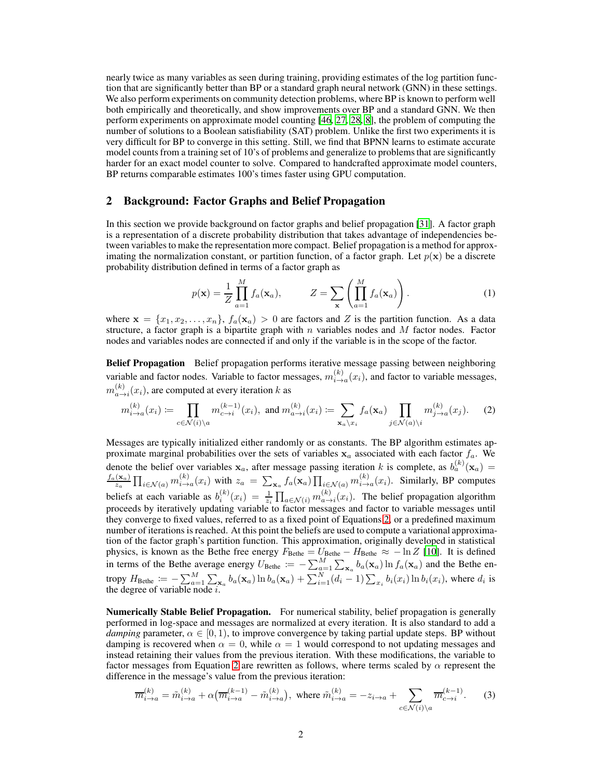nearly twice as many variables as seen during training, providing estimates of the log partition function that are significantly better than BP or a standard graph neural network (GNN) in these settings. We also perform experiments on community detection problems, where BP is known to perform well both empirically and theoretically, and show improvements over BP and a standard GNN. We then perform experiments on approximate model counting [\[46,](#page-11-2) [27,](#page-10-2) [28,](#page-10-3) [8\]](#page-9-2), the problem of computing the number of solutions to a Boolean satisfiability (SAT) problem. Unlike the first two experiments it is very difficult for BP to converge in this setting. Still, we find that BPNN learns to estimate accurate model counts from a training set of 10's of problems and generalize to problems that are significantly harder for an exact model counter to solve. Compared to handcrafted approximate model counters, BP returns comparable estimates 100's times faster using GPU computation.

# 2 Background: Factor Graphs and Belief Propagation

In this section we provide background on factor graphs and belief propagation [\[31\]](#page-10-1). A factor graph is a representation of a discrete probability distribution that takes advantage of independencies between variables to make the representation more compact. Belief propagation is a method for approximating the normalization constant, or partition function, of a factor graph. Let  $p(x)$  be a discrete probability distribution defined in terms of a factor graph as

<span id="page-1-0"></span>
$$
p(\mathbf{x}) = \frac{1}{Z} \prod_{a=1}^{M} f_a(\mathbf{x}_a), \qquad Z = \sum_{\mathbf{x}} \left( \prod_{a=1}^{M} f_a(\mathbf{x}_a) \right). \tag{1}
$$

where  $\mathbf{x} = \{x_1, x_2, \dots, x_n\}, f_a(\mathbf{x}_a) > 0$  are factors and Z is the partition function. As a data structure, a factor graph is a bipartite graph with  $n$  variables nodes and  $M$  factor nodes. Factor nodes and variables nodes are connected if and only if the variable is in the scope of the factor.

Belief Propagation Belief propagation performs iterative message passing between neighboring variable and factor nodes. Variable to factor messages,  $m_{i\to a}^{(k)}(x_i)$ , and factor to variable messages,  $m_{a\to i}^{(k)}(x_i)$ , are computed at every iteration k as

$$
m_{i \to a}^{(k)}(x_i) \coloneqq \prod_{c \in \mathcal{N}(i) \setminus a} m_{c \to i}^{(k-1)}(x_i), \text{ and } m_{a \to i}^{(k)}(x_i) \coloneqq \sum_{\mathbf{x}_a \setminus x_i} f_a(\mathbf{x}_a) \prod_{j \in \mathcal{N}(a) \setminus i} m_{j \to a}^{(k)}(x_j). \tag{2}
$$

Messages are typically initialized either randomly or as constants. The BP algorithm estimates approximate marginal probabilities over the sets of variables  $x_a$  associated with each factor  $f_a$ . We denote the belief over variables  $x_a$ , after message passing iteration k is complete, as  $b_a^{(k)}(x_a)$  =  $f_a(\mathbf{x}_a)$  $\frac{d(\mathbf{x}_a)}{\mathbf{x}_a} \prod_{i \in \mathcal{N}(a)} m_{i \to a}^{(k)}(x_i)$  with  $z_a = \sum_{\mathbf{x}_a} f_a(\mathbf{x}_a) \prod_{i \in \mathcal{N}(a)} m_{i \to a}^{(k)}(x_i)$ . Similarly, BP computes beliefs at each variable as  $b_i^{(k)}(x_i) = \frac{1}{z_i} \prod_{a \in \mathcal{N}(i)} m_{a \to i}^{(k)}(x_i)$ . The belief propagation algorithm proceeds by iteratively updating variable to factor messages and factor to variable messages until they converge to fixed values, referred to as a fixed point of Equations [2,](#page-1-0) or a predefined maximum number of iterations is reached. At this point the beliefs are used to compute a variational approximation of the factor graph's partition function. This approximation, originally developed in statistical physics, is known as the Bethe free energy  $F_{\text{Bethe}} = U_{\text{Bethe}} - H_{\text{Bethe}} \approx -\ln Z$  [\[10\]](#page-9-3). It is defined in terms of the Bethe average energy  $U_{\text{Bethe}} := -\sum_{a=1}^{M} \sum_{\mathbf{x}_a} b_a(\mathbf{x}_a) \ln f_a(\mathbf{x}_a)$  and the Bethe entropy  $H_{\text{Bethe}} := -\sum_{a=1}^{M} \sum_{\mathbf{x}_a} b_a(\mathbf{x}_a) \ln b_a(\mathbf{x}_a) + \sum_{i=1}^{N} (d_i - 1) \sum_{x_i} b_i(x_i) \ln b_i(x_i)$ , where  $d_i$  is the degree of variable node  $i$ .

Numerically Stable Belief Propagation. For numerical stability, belief propagation is generally performed in log-space and messages are normalized at every iteration. It is also standard to add a *damping* parameter,  $\alpha \in [0, 1)$ , to improve convergence by taking partial update steps. BP without damping is recovered when  $\alpha = 0$ , while  $\alpha = 1$  would correspond to not updating messages and instead retaining their values from the previous iteration. With these modifications, the variable to factor messages from Equation [2](#page-1-0) are rewritten as follows, where terms scaled by  $\alpha$  represent the difference in the message's value from the previous iteration:

<span id="page-1-1"></span>
$$
\overline{m}_{i \to a}^{(k)} = \tilde{m}_{i \to a}^{(k)} + \alpha \big( \overline{m}_{i \to a}^{(k-1)} - \tilde{m}_{i \to a}^{(k)} \big), \text{ where } \tilde{m}_{i \to a}^{(k)} = -z_{i \to a} + \sum_{c \in \mathcal{N}(i) \setminus a} \overline{m}_{c \to i}^{(k-1)}.
$$
 (3)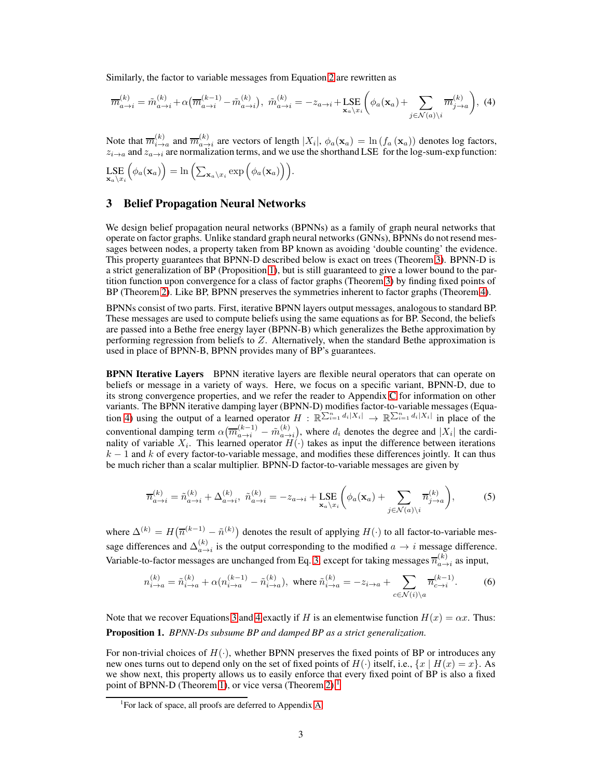Similarly, the factor to variable messages from Equation [2](#page-1-0) are rewritten as

<span id="page-2-1"></span>
$$
\overline{m}_{a\to i}^{(k)} = \tilde{m}_{a\to i}^{(k)} + \alpha \big( \overline{m}_{a\to i}^{(k-1)} - \tilde{m}_{a\to i}^{(k)} \big), \ \tilde{m}_{a\to i}^{(k)} = -z_{a\to i} + \text{LSE}_{\mathbf{x}_a \setminus x_i} \bigg( \phi_a(\mathbf{x}_a) + \sum_{j \in \mathcal{N}(a) \setminus i} \overline{m}_{j\to a}^{(k)} \bigg), \ (4)
$$

Note that  $\overline{m}_{i\to a}^{(k)}$  and  $\overline{m}_{a\to i}^{(k)}$  are vectors of length  $|X_i|$ ,  $\phi_a(\mathbf{x}_a) = \ln(f_a(\mathbf{x}_a))$  denotes log factors,  $z_{i\to a}$  and  $z_{a\to i}$  are normalization terms, and we use the shorthand LSE for the log-sum-exp function:

$$
\mathop{\rm LSE}_{\mathbf{x}_a \setminus x_i} \left( \phi_a(\mathbf{x}_a) \right) = \ln \left( \sum_{\mathbf{x}_a \setminus x_i} \exp \left( \phi_a(\mathbf{x}_a) \right) \right).
$$

#### 3 Belief Propagation Neural Networks

We design belief propagation neural networks (BPNNs) as a family of graph neural networks that operate on factor graphs. Unlike standard graph neural networks (GNNs), BPNNs do not resend messages between nodes, a property taken from BP known as avoiding 'double counting' the evidence. This property guarantees that BPNN-D described below is exact on trees (Theorem [3\)](#page-3-0). BPNN-D is a strict generalization of BP (Proposition [1\)](#page-2-0), but is still guaranteed to give a lower bound to the partition function upon convergence for a class of factor graphs (Theorem [3\)](#page-3-0) by finding fixed points of BP (Theorem [2\)](#page-3-1). Like BP, BPNN preserves the symmetries inherent to factor graphs (Theorem [4\)](#page-4-0).

BPNNs consist of two parts. First, iterative BPNN layers output messages, analogous to standard BP. These messages are used to compute beliefs using the same equations as for BP. Second, the beliefs are passed into a Bethe free energy layer (BPNN-B) which generalizes the Bethe approximation by performing regression from beliefs to  $Z$ . Alternatively, when the standard Bethe approximation is used in place of BPNN-B, BPNN provides many of BP's guarantees.

**BPNN Iterative Layers** BPNN iterative layers are flexible neural operators that can operate on beliefs or message in a variety of ways. Here, we focus on a specific variant, BPNN-D, due to its strong convergence properties, and we refer the reader to Appendix [C](#page-17-0) for information on other variants. The BPNN iterative damping layer (BPNN-D) modifies factor-to-variable messages (Equa-tion [4\)](#page-2-1) using the output of a learned operator  $H : \mathbb{R}^{\sum_{i=1}^{n} d_i |X_i|} \to \mathbb{R}^{\sum_{i=1}^{n} d_i |X_i|}$  in place of the conventional damping term  $\alpha(\overline{m}_{a\to i}^{(k-1)} - \tilde{m}_{a\to i}^{(k)})$ , where  $d_i$  denotes the degree and  $|X_i|$  the cardinality of variable  $X_i$ . This learned operator  $H(\cdot)$  takes as input the difference between iterations  $k-1$  and k of every factor-to-variable message, and modifies these differences jointly. It can thus be much richer than a scalar multiplier. BPNN-D factor-to-variable messages are given by

<span id="page-2-2"></span>
$$
\overline{n}_{a \to i}^{(k)} = \tilde{n}_{a \to i}^{(k)} + \Delta_{a \to i}^{(k)}, \ \tilde{n}_{a \to i}^{(k)} = -z_{a \to i} + \text{LSE}_{\mathbf{x}_a \setminus x_i} \left( \phi_a(\mathbf{x}_a) + \sum_{j \in \mathcal{N}(a) \setminus i} \overline{n}_{j \to a}^{(k)} \right),\tag{5}
$$

where  $\Delta^{(k)} = H(\overline{n}^{(k-1)} - \tilde{n}^{(k)})$  denotes the result of applying  $H(\cdot)$  to all factor-to-variable message differences and  $\Delta_{a\to i}^{(k)}$  is the output corresponding to the modified  $a \to i$  message difference. Variable-to-factor messages are unchanged from Eq. [3,](#page-1-1) except for taking messages  $\overline{n}_{a\to i}^{(k)}$  as input,

<span id="page-2-3"></span>
$$
n_{i \to a}^{(k)} = \tilde{n}_{i \to a}^{(k)} + \alpha (n_{i \to a}^{(k-1)} - \tilde{n}_{i \to a}^{(k)}), \text{ where } \tilde{n}_{i \to a}^{(k)} = -z_{i \to a} + \sum_{c \in \mathcal{N}(i) \backslash a} \overline{n}_{c \to i}^{(k-1)}.
$$
 (6)

<span id="page-2-0"></span>Note that we recover Equations [3](#page-1-1) and [4](#page-2-1) exactly if H is an elementwise function  $H(x) = \alpha x$ . Thus: Proposition 1. *BPNN-Ds subsume BP and damped BP as a strict generalization.*

For non-trivial choices of  $H(\cdot)$ , whether BPNN preserves the fixed points of BP or introduces any new ones turns out to depend only on the set of fixed points of  $H(\cdot)$  itself, i.e.,  $\{x \mid H(x) = x\}$ . As we show next, this property allows us to easily enforce that every fixed point of BP is also a fixed point of BPNN-D (Theorem [1\)](#page-3-2), or vice versa (Theorem [2\)](#page-3-1).<sup>1</sup>

<sup>&</sup>lt;sup>1</sup>For lack of space, all proofs are deferred to Appendix [A.](#page-12-0)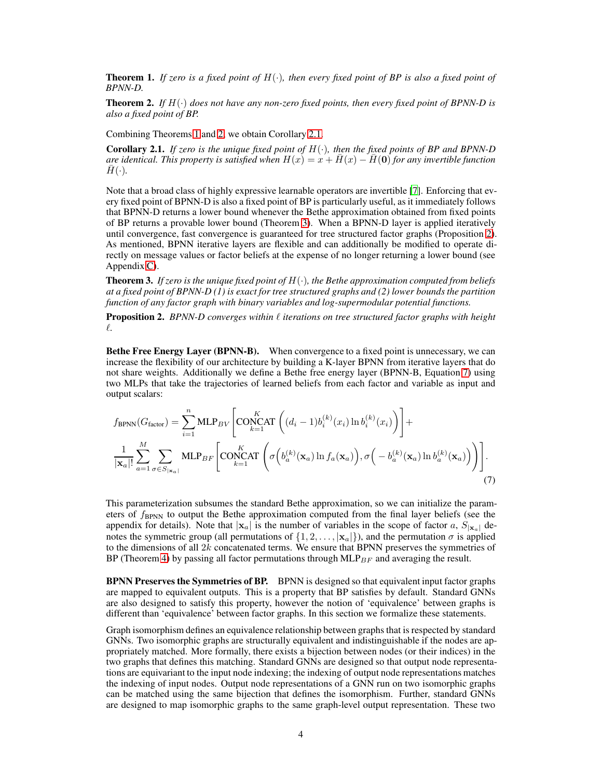<span id="page-3-2"></span>**Theorem 1.** If zero is a fixed point of  $H(\cdot)$ , then every fixed point of BP is also a fixed point of *BPNN-D.*

<span id="page-3-1"></span>**Theorem 2.** If  $H(\cdot)$  does not have any non-zero fixed points, then every fixed point of BPNN-D is *also a fixed point of BP.*

Combining Theorems [1](#page-3-2) and [2,](#page-3-1) we obtain Corollary [2.1.](#page-3-3)

<span id="page-3-3"></span>Corollary 2.1. *If zero is the unique fixed point of* H(·)*, then the fixed points of BP and BPNN-D are identical. This property is satisfied when*  $H(x) = x + \overline{H}(x) - \overline{H}(0)$  *for any invertible function*  $\bar{H}(\cdot)$ .

Note that a broad class of highly expressive learnable operators are invertible [\[7\]](#page-9-4). Enforcing that every fixed point of BPNN-D is also a fixed point of BP is particularly useful, as it immediately follows that BPNN-D returns a lower bound whenever the Bethe approximation obtained from fixed points of BP returns a provable lower bound (Theorem [3\)](#page-3-0). When a BPNN-D layer is applied iteratively until convergence, fast convergence is guaranteed for tree structured factor graphs (Proposition [2\)](#page-3-4). As mentioned, BPNN iterative layers are flexible and can additionally be modified to operate directly on message values or factor beliefs at the expense of no longer returning a lower bound (see Appendix [C\)](#page-17-0).

<span id="page-3-0"></span>Theorem 3. *If zero is the unique fixed point of* H(·)*, the Bethe approximation computed from beliefs at a fixed point of BPNN-D (1) is exact for tree structured graphs and (2) lower bounds the partition function of any factor graph with binary variables and log-supermodular potential functions.*

<span id="page-3-4"></span>**Proposition 2.** *BPNN-D converges within*  $\ell$  *iterations on tree structured factor graphs with height* ℓ*.*

Bethe Free Energy Layer (BPNN-B). When convergence to a fixed point is unnecessary, we can increase the flexibility of our architecture by building a K-layer BPNN from iterative layers that do not share weights. Additionally we define a Bethe free energy layer (BPNN-B, Equation [7\)](#page-3-5) using two MLPs that take the trajectories of learned beliefs from each factor and variable as input and output scalars:

<span id="page-3-5"></span>
$$
f_{\text{BPNN}}(G_{\text{factor}}) = \sum_{i=1}^{n} \text{MLP}_{BV} \left[ \text{CONCAT} \left( (d_i - 1) b_i^{(k)}(x_i) \ln b_i^{(k)}(x_i) \right) \right] +
$$
  

$$
\frac{1}{|\mathbf{x}_a|!} \sum_{a=1}^{M} \sum_{\sigma \in S_{|\mathbf{x}_a|}} \text{MLP}_{BF} \left[ \text{CONCAT} \left( \sigma \left( b_a^{(k)}(\mathbf{x}_a) \ln f_a(\mathbf{x}_a) \right), \sigma \left( -b_a^{(k)}(\mathbf{x}_a) \ln b_a^{(k)}(\mathbf{x}_a) \right) \right) \right].
$$
  
(7)

This parameterization subsumes the standard Bethe approximation, so we can initialize the parameters of  $f_{\rm BPNN}$  to output the Bethe approximation computed from the final layer beliefs (see the appendix for details). Note that  $|x_a|$  is the number of variables in the scope of factor a,  $S_{|x_a|}$  denotes the symmetric group (all permutations of  $\{1, 2, \ldots, |x_a|\}$ ), and the permutation  $\sigma$  is applied to the dimensions of all  $2k$  concatenated terms. We ensure that BPNN preserves the symmetries of BP (Theorem [4\)](#page-4-0) by passing all factor permutations through  $MLP_{BF}$  and averaging the result.

<span id="page-3-6"></span>BPNN Preserves the Symmetries of BP. BPNN is designed so that equivalent input factor graphs are mapped to equivalent outputs. This is a property that BP satisfies by default. Standard GNNs are also designed to satisfy this property, however the notion of 'equivalence' between graphs is different than 'equivalence' between factor graphs. In this section we formalize these statements.

Graph isomorphism defines an equivalence relationship between graphs that is respected by standard GNNs. Two isomorphic graphs are structurally equivalent and indistinguishable if the nodes are appropriately matched. More formally, there exists a bijection between nodes (or their indices) in the two graphs that defines this matching. Standard GNNs are designed so that output node representations are equivariant to the input node indexing; the indexing of output node representations matches the indexing of input nodes. Output node representations of a GNN run on two isomorphic graphs can be matched using the same bijection that defines the isomorphism. Further, standard GNNs are designed to map isomorphic graphs to the same graph-level output representation. These two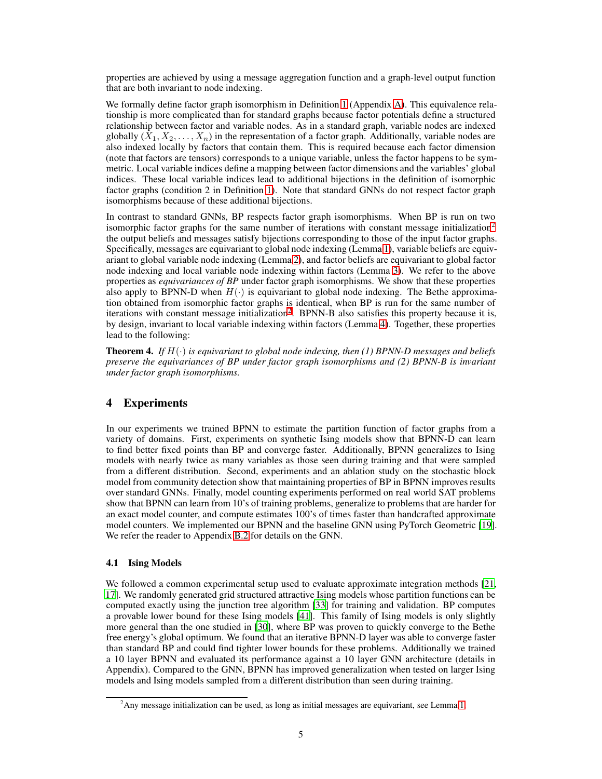properties are achieved by using a message aggregation function and a graph-level output function that are both invariant to node indexing.

We formally define factor graph isomorphism in Definition [1](#page-13-0) (Appendix [A\)](#page-12-0). This equivalence relationship is more complicated than for standard graphs because factor potentials define a structured relationship between factor and variable nodes. As in a standard graph, variable nodes are indexed globally  $(X_1, X_2, \ldots, X_n)$  in the representation of a factor graph. Additionally, variable nodes are also indexed locally by factors that contain them. This is required because each factor dimension (note that factors are tensors) corresponds to a unique variable, unless the factor happens to be symmetric. Local variable indices define a mapping between factor dimensions and the variables' global indices. These local variable indices lead to additional bijections in the definition of isomorphic factor graphs (condition 2 in Definition [1\)](#page-13-0). Note that standard GNNs do not respect factor graph isomorphisms because of these additional bijections.

In contrast to standard GNNs, BP respects factor graph isomorphisms. When BP is run on two isomorphic factor graphs for the same number of iterations with constant message initialization<sup>2</sup> the output beliefs and messages satisfy bijections corresponding to those of the input factor graphs. Specifically, messages are equivariant to global node indexing (Lemma [1\)](#page-13-1), variable beliefs are equivariant to global variable node indexing (Lemma [2\)](#page-14-0), and factor beliefs are equivariant to global factor node indexing and local variable node indexing within factors (Lemma [3\)](#page-14-1). We refer to the above properties as *equivariances of BP* under factor graph isomorphisms. We show that these properties also apply to BPNN-D when  $H(\cdot)$  is equivariant to global node indexing. The Bethe approximation obtained from isomorphic factor graphs is identical, when BP is run for the same number of iterations with constant message initialization<sup>[2](#page-3-6)</sup>. BPNN-B also satisfies this property because it is, by design, invariant to local variable indexing within factors (Lemma [4\)](#page-14-2). Together, these properties lead to the following:

<span id="page-4-0"></span>**Theorem 4.** *If*  $H(\cdot)$  *is equivariant to global node indexing, then (1) BPNN-D messages and beliefs preserve the equivariances of BP under factor graph isomorphisms and (2) BPNN-B is invariant under factor graph isomorphisms.*

# 4 Experiments

In our experiments we trained BPNN to estimate the partition function of factor graphs from a variety of domains. First, experiments on synthetic Ising models show that BPNN-D can learn to find better fixed points than BP and converge faster. Additionally, BPNN generalizes to Ising models with nearly twice as many variables as those seen during training and that were sampled from a different distribution. Second, experiments and an ablation study on the stochastic block model from community detection show that maintaining properties of BP in BPNN improves results over standard GNNs. Finally, model counting experiments performed on real world SAT problems show that BPNN can learn from 10's of training problems, generalize to problems that are harder for an exact model counter, and compute estimates 100's of times faster than handcrafted approximate model counters. We implemented our BPNN and the baseline GNN using PyTorch Geometric [19]. We refer the reader to Appendix [B.2](#page-16-0) for details on the GNN.

### 4.1 Ising Models

We followed a common experimental setup used to evaluate approximate integration methods [\[21,](#page-10-4) [17](#page-10-5)]. We randomly generated grid structured attractive Ising models whose partition functions can be computed exactly using the junction tree algorithm [\[33\]](#page-10-6) for training and validation. BP computes a provable lower bound for these Ising models [\[41\]](#page-11-3). This family of Ising models is only slightly more general than the one studied in [\[30](#page-10-7)], where BP was proven to quickly converge to the Bethe free energy's global optimum. We found that an iterative BPNN-D layer was able to converge faster than standard BP and could find tighter lower bounds for these problems. Additionally we trained a 10 layer BPNN and evaluated its performance against a 10 layer GNN architecture (details in Appendix). Compared to the GNN, BPNN has improved generalization when tested on larger Ising models and Ising models sampled from a different distribution than seen during training.

 ${}^{2}$ Any message initialization can be used, as long as initial messages are equivariant, see Lemma [1.](#page-13-1)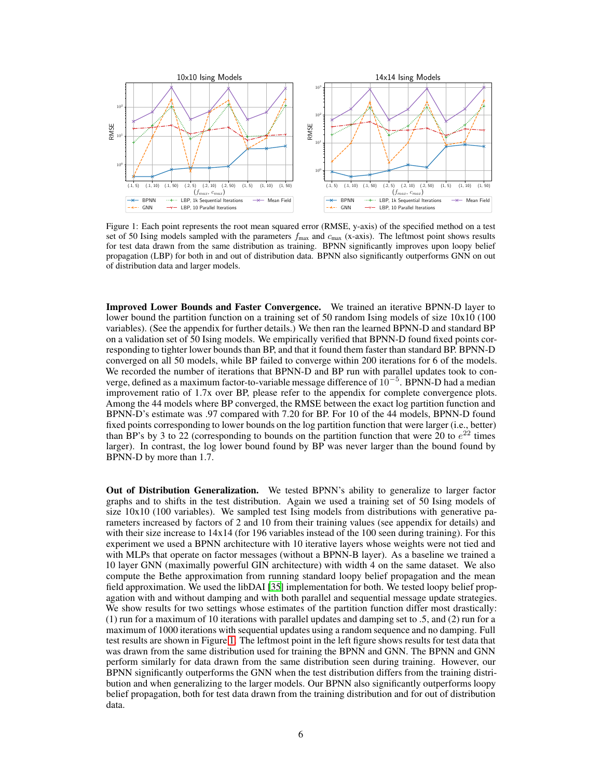<span id="page-5-0"></span>

Figure 1: Each point represents the root mean squared error (RMSE, y-axis) of the specified method on a test set of 50 Ising models sampled with the parameters  $f_{\text{max}}$  and  $c_{\text{max}}$  (x-axis). The leftmost point shows results for test data drawn from the same distribution as training. BPNN significantly improves upon loopy belief propagation (LBP) for both in and out of distribution data. BPNN also significantly outperforms GNN on out of distribution data and larger models.

Improved Lower Bounds and Faster Convergence. We trained an iterative BPNN-D layer to lower bound the partition function on a training set of 50 random Ising models of size  $10x10(100)$ variables). (See the appendix for further details.) We then ran the learned BPNN-D and standard BP on a validation set of 50 Ising models. We empirically verified that BPNN-D found fixed points corresponding to tighter lower bounds than BP, and that it found them faster than standard BP. BPNN-D converged on all 50 models, while BP failed to converge within 200 iterations for 6 of the models. We recorded the number of iterations that BPNN-D and BP run with parallel updates took to converge, defined as a maximum factor-to-variable message difference of  $10^{-5}$ . BPNN-D had a median improvement ratio of 1.7x over BP, please refer to the appendix for complete convergence plots. Among the 44 models where BP converged, the RMSE between the exact log partition function and BPNN-D's estimate was .97 compared with 7.20 for BP. For 10 of the 44 models, BPNN-D found fixed points corresponding to lower bounds on the log partition function that were larger (i.e., better) than BP's by 3 to 22 (corresponding to bounds on the partition function that were 20 to  $e^{22}$  times larger). In contrast, the log lower bound found by BP was never larger than the bound found by BPNN-D by more than 1.7.

Out of Distribution Generalization. We tested BPNN's ability to generalize to larger factor graphs and to shifts in the test distribution. Again we used a training set of 50 Ising models of size  $10x10$  (100 variables). We sampled test Ising models from distributions with generative parameters increased by factors of 2 and 10 from their training values (see appendix for details) and with their size increase to  $14x14$  (for 196 variables instead of the 100 seen during training). For this experiment we used a BPNN architecture with 10 iterative layers whose weights were not tied and with MLPs that operate on factor messages (without a BPNN-B layer). As a baseline we trained a 10 layer GNN (maximally powerful GIN architecture) with width 4 on the same dataset. We also compute the Bethe approximation from running standard loopy belief propagation and the mean field approximation. We used the libDAI [\[35\]](#page-10-8) implementation for both. We tested loopy belief propagation with and without damping and with both parallel and sequential message update strategies. We show results for two settings whose estimates of the partition function differ most drastically: (1) run for a maximum of 10 iterations with parallel updates and damping set to .5, and (2) run for a maximum of 1000 iterations with sequential updates using a random sequence and no damping. Full test results are shown in Figure [1.](#page-5-0) The leftmost point in the left figure shows results for test data that was drawn from the same distribution used for training the BPNN and GNN. The BPNN and GNN perform similarly for data drawn from the same distribution seen during training. However, our BPNN significantly outperforms the GNN when the test distribution differs from the training distribution and when generalizing to the larger models. Our BPNN also significantly outperforms loopy belief propagation, both for test data drawn from the training distribution and for out of distribution data.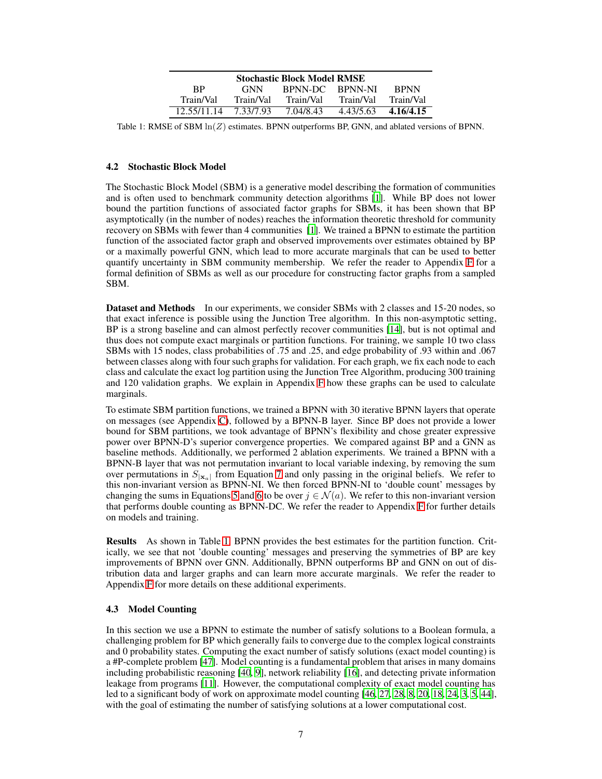<span id="page-6-0"></span>

| <b>Stochastic Block Model RMSE</b> |  |            |           |                |             |
|------------------------------------|--|------------|-----------|----------------|-------------|
| <b>RP</b>                          |  | <b>GNN</b> | BPNN-DC   | <b>RPNN-NI</b> | <b>BPNN</b> |
| Train/Val                          |  | Train/Val  | Train/Val | Train/Val      | Train/Val   |
| 12.55/11.14                        |  | 7.33/7.93  | 7.04/8.43 | 4.43/5.63      | 4.16/4.15   |

Table 1: RMSE of SBM  $\ln(Z)$  estimates. BPNN outperforms BP, GNN, and ablated versions of BPNN.

### 4.2 Stochastic Block Model

The Stochastic Block Model (SBM) is a generative model describing the formation of communities and is often used to benchmark community detection algorithms [\[1\]](#page-9-5). While BP does not lower bound the partition functions of associated factor graphs for SBMs, it has been shown that BP asymptotically (in the number of nodes) reaches the information theoretic threshold for community recovery on SBMs with fewer than 4 communities [\[1](#page-9-5)]. We trained a BPNN to estimate the partition function of the associated factor graph and observed improvements over estimates obtained by BP or a maximally powerful GNN, which lead to more accurate marginals that can be used to better quantify uncertainty in SBM community membership. We refer the reader to Appendix [F](#page-21-0) for a formal definition of SBMs as well as our procedure for constructing factor graphs from a sampled SBM.

Dataset and Methods In our experiments, we consider SBMs with 2 classes and 15-20 nodes, so that exact inference is possible using the Junction Tree algorithm. In this non-asymptotic setting, BP is a strong baseline and can almost perfectly recover communities [\[14](#page-9-6)], but is not optimal and thus does not compute exact marginals or partition functions. For training, we sample 10 two class SBMs with 15 nodes, class probabilities of .75 and .25, and edge probability of .93 within and .067 between classes along with four such graphs for validation. For each graph, we fix each node to each class and calculate the exact log partition using the Junction Tree Algorithm, producing 300 training and 120 validation graphs. We explain in Appendix [F](#page-21-0) how these graphs can be used to calculate marginals.

To estimate SBM partition functions, we trained a BPNN with 30 iterative BPNN layers that operate on messages (see Appendix [C\)](#page-17-0), followed by a BPNN-B layer. Since BP does not provide a lower bound for SBM partitions, we took advantage of BPNN's flexibility and chose greater expressive power over BPNN-D's superior convergence properties. We compared against BP and a GNN as baseline methods. Additionally, we performed 2 ablation experiments. We trained a BPNN with a BPNN-B layer that was not permutation invariant to local variable indexing, by removing the sum over permutations in  $S_{|\mathbf{x}_a|}$  from Equation [7](#page-3-5) and only passing in the original beliefs. We refer to this non-invariant version as BPNN-NI. We then forced BPNN-NI to 'double count' messages by changing the sums in Equations [5](#page-2-2) and [6](#page-2-3) to be over  $j \in \mathcal{N}(a)$ . We refer to this non-invariant version that performs double counting as BPNN-DC. We refer the reader to Appendix [F](#page-21-0) for further details on models and training.

Results As shown in Table [1,](#page-6-0) BPNN provides the best estimates for the partition function. Critically, we see that not 'double counting' messages and preserving the symmetries of BP are key improvements of BPNN over GNN. Additionally, BPNN outperforms BP and GNN on out of distribution data and larger graphs and can learn more accurate marginals. We refer the reader to Appendix [F](#page-21-0) for more details on these additional experiments.

#### 4.3 Model Counting

In this section we use a BPNN to estimate the number of satisfy solutions to a Boolean formula, a challenging problem for BP which generally fails to converge due to the complex logical constraints and 0 probability states. Computing the exact number of satisfy solutions (exact model counting) is a #P-complete problem [\[47](#page-11-4)]. Model counting is a fundamental problem that arises in many domains including probabilistic reasoning [\[40,](#page-11-5) [9](#page-9-7)], network reliability [\[16\]](#page-10-9), and detecting private information leakage from programs [\[11](#page-9-8)]. However, the computational complexity of exact model counting has led to a significant body of work on approximate model counting [\[46](#page-11-2), [27,](#page-10-2) [28,](#page-10-3) [8,](#page-9-2) [20](#page-10-10), [18](#page-10-11), [24,](#page-10-12) [3,](#page-9-9) [5,](#page-9-10) [44\]](#page-11-6), with the goal of estimating the number of satisfying solutions at a lower computational cost.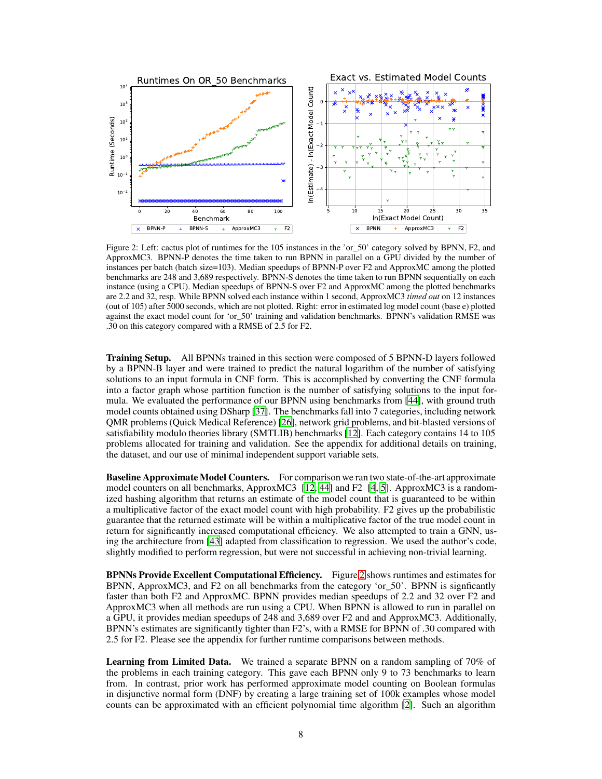<span id="page-7-0"></span>

Figure 2: Left: cactus plot of runtimes for the 105 instances in the 'or\_50' category solved by BPNN, F2, and ApproxMC3. BPNN-P denotes the time taken to run BPNN in parallel on a GPU divided by the number of instances per batch (batch size=103). Median speedups of BPNN-P over F2 and ApproxMC among the plotted benchmarks are 248 and 3,689 respectively. BPNN-S denotes the time taken to run BPNN sequentially on each instance (using a CPU). Median speedups of BPNN-S over F2 and ApproxMC among the plotted benchmarks are 2.2 and 32, resp. While BPNN solved each instance within 1 second, ApproxMC3 *timed out* on 12 instances (out of 105) after 5000 seconds, which are not plotted. Right: error in estimated log model count (base e) plotted against the exact model count for 'or\_50' training and validation benchmarks. BPNN's validation RMSE was .30 on this category compared with a RMSE of 2.5 for F2.

Training Setup. All BPNNs trained in this section were composed of 5 BPNN-D layers followed by a BPNN-B layer and were trained to predict the natural logarithm of the number of satisfying solutions to an input formula in CNF form. This is accomplished by converting the CNF formula into a factor graph whose partition function is the number of satisfying solutions to the input formula. We evaluated the performance of our BPNN using benchmarks from [\[44](#page-11-6)], with ground truth model counts obtained using DSharp [\[37\]](#page-10-13). The benchmarks fall into 7 categories, including network QMR problems (Quick Medical Reference) [\[26\]](#page-10-14), network grid problems, and bit-blasted versions of satisfiability modulo theories library (SMTLIB) benchmarks [\[12\]](#page-9-11). Each category contains 14 to 105 problems allocated for training and validation. See the appendix for additional details on training, the dataset, and our use of minimal independent support variable sets.

Baseline Approximate Model Counters. For comparison we ran two state-of-the-art approximate model counters on all benchmarks, ApproxMC3 [\[12](#page-9-11), [44](#page-11-6)] and F2 [\[4](#page-9-12), [5\]](#page-9-10). ApproxMC3 is a randomized hashing algorithm that returns an estimate of the model count that is guaranteed to be within a multiplicative factor of the exact model count with high probability. F2 gives up the probabilistic guarantee that the returned estimate will be within a multiplicative factor of the true model count in return for significantly increased computational efficiency. We also attempted to train a GNN, using the architecture from [\[43\]](#page-11-7) adapted from classification to regression. We used the author's code, slightly modified to perform regression, but were not successful in achieving non-trivial learning.

BPNNs Provide Excellent Computational Efficiency. Figure [2](#page-7-0) shows runtimes and estimates for BPNN, ApproxMC3, and F2 on all benchmarks from the category 'or 50'. BPNN is signficantly faster than both F2 and ApproxMC. BPNN provides median speedups of 2.2 and 32 over F2 and ApproxMC3 when all methods are run using a CPU. When BPNN is allowed to run in parallel on a GPU, it provides median speedups of 248 and 3,689 over F2 and and ApproxMC3. Additionally, BPNN's estimates are significantly tighter than F2's, with a RMSE for BPNN of .30 compared with 2.5 for F2. Please see the appendix for further runtime comparisons between methods.

Learning from Limited Data. We trained a separate BPNN on a random sampling of 70% of the problems in each training category. This gave each BPNN only 9 to 73 benchmarks to learn from. In contrast, prior work has performed approximate model counting on Boolean formulas in disjunctive normal form (DNF) by creating a large training set of 100k examples whose model counts can be approximated with an efficient polynomial time algorithm [\[2\]](#page-9-13). Such an algorithm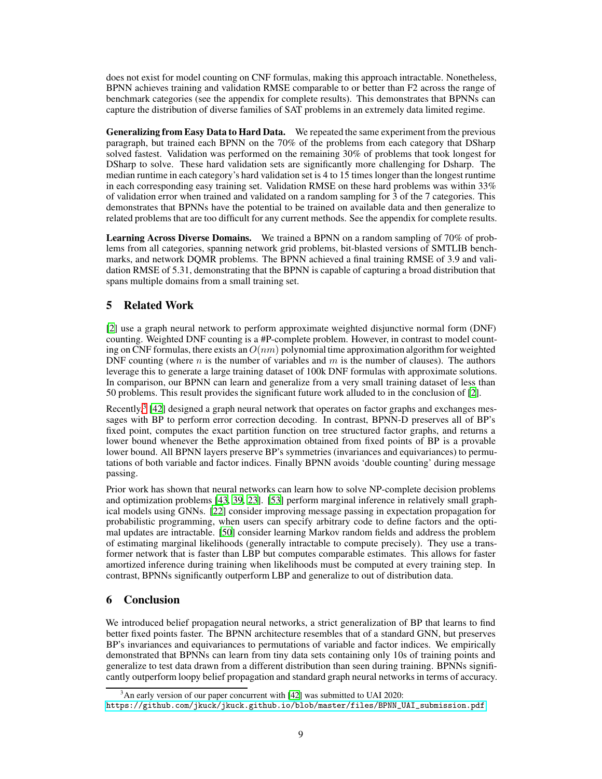does not exist for model counting on CNF formulas, making this approach intractable. Nonetheless, BPNN achieves training and validation RMSE comparable to or better than F2 across the range of benchmark categories (see the appendix for complete results). This demonstrates that BPNNs can capture the distribution of diverse families of SAT problems in an extremely data limited regime.

Generalizing from Easy Data to Hard Data. We repeated the same experiment from the previous paragraph, but trained each BPNN on the 70% of the problems from each category that DSharp solved fastest. Validation was performed on the remaining 30% of problems that took longest for DSharp to solve. These hard validation sets are significantly more challenging for Dsharp. The median runtime in each category's hard validation set is 4 to 15 times longer than the longest runtime in each corresponding easy training set. Validation RMSE on these hard problems was within 33% of validation error when trained and validated on a random sampling for 3 of the 7 categories. This demonstrates that BPNNs have the potential to be trained on available data and then generalize to related problems that are too difficult for any current methods. See the appendix for complete results.

Learning Across Diverse Domains. We trained a BPNN on a random sampling of 70% of problems from all categories, spanning network grid problems, bit-blasted versions of SMTLIB benchmarks, and network DQMR problems. The BPNN achieved a final training RMSE of 3.9 and validation RMSE of 5.31, demonstrating that the BPNN is capable of capturing a broad distribution that spans multiple domains from a small training set.

# 5 Related Work

[\[2](#page-9-13)] use a graph neural network to perform approximate weighted disjunctive normal form (DNF) counting. Weighted DNF counting is a #P-complete problem. However, in contrast to model counting on CNF formulas, there exists an  $O(nm)$  polynomial time approximation algorithm for weighted DNF counting (where n is the number of variables and m is the number of clauses). The authors leverage this to generate a large training dataset of 100k DNF formulas with approximate solutions. In comparison, our BPNN can learn and generalize from a very small training dataset of less than 50 problems. This result provides the significant future work alluded to in the conclusion of [\[2](#page-9-13)].

Recently,<sup>3</sup> [\[42](#page-11-8)] designed a graph neural network that operates on factor graphs and exchanges messages with BP to perform error correction decoding. In contrast, BPNN-D preserves all of BP's fixed point, computes the exact partition function on tree structured factor graphs, and returns a lower bound whenever the Bethe approximation obtained from fixed points of BP is a provable lower bound. All BPNN layers preserve BP's symmetries (invariances and equivariances) to permutations of both variable and factor indices. Finally BPNN avoids 'double counting' during message passing.

Prior work has shown that neural networks can learn how to solve NP-complete decision problems and optimization problems [\[43,](#page-11-7) [39,](#page-11-9) [23](#page-10-15)]. [\[53\]](#page-11-10) perform marginal inference in relatively small graphical models using GNNs. [\[22\]](#page-10-16) consider improving message passing in expectation propagation for probabilistic programming, when users can specify arbitrary code to define factors and the optimal updates are intractable. [\[50\]](#page-11-11) consider learning Markov random fields and address the problem of estimating marginal likelihoods (generally intractable to compute precisely). They use a transformer network that is faster than LBP but computes comparable estimates. This allows for faster amortized inference during training when likelihoods must be computed at every training step. In contrast, BPNNs significantly outperform LBP and generalize to out of distribution data.

# 6 Conclusion

We introduced belief propagation neural networks, a strict generalization of BP that learns to find better fixed points faster. The BPNN architecture resembles that of a standard GNN, but preserves BP's invariances and equivariances to permutations of variable and factor indices. We empirically demonstrated that BPNNs can learn from tiny data sets containing only 10s of training points and generalize to test data drawn from a different distribution than seen during training. BPNNs significantly outperform loopy belief propagation and standard graph neural networks in terms of accuracy.

<sup>&</sup>lt;sup>3</sup>An early version of our paper concurrent with [\[42\]](#page-11-8) was submitted to UAI 2020:

[https://github.com/jkuck/jkuck.github.io/blob/master/files/BPNN\\_UAI\\_submission.pdf](https://github.com/jkuck/jkuck.github.io/blob/master/files/BPNN_UAI_submission.pdf)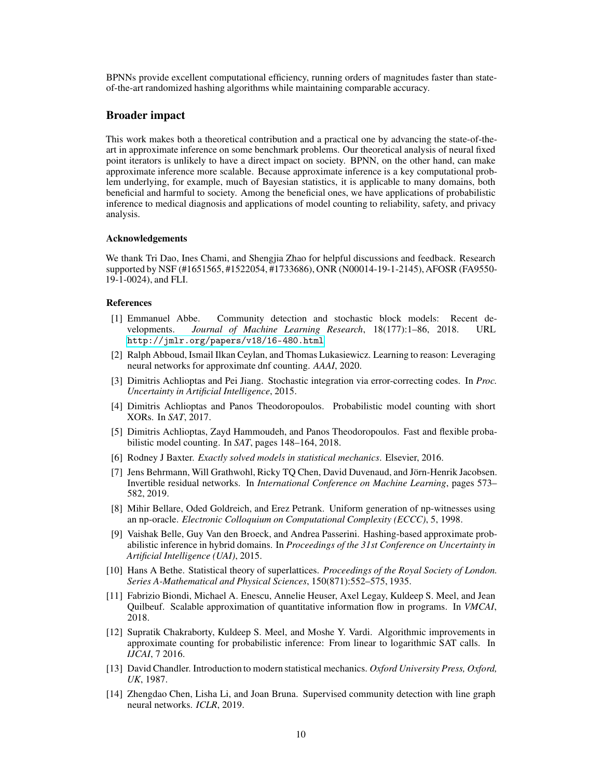BPNNs provide excellent computational efficiency, running orders of magnitudes faster than stateof-the-art randomized hashing algorithms while maintaining comparable accuracy.

# Broader impact

This work makes both a theoretical contribution and a practical one by advancing the state-of-theart in approximate inference on some benchmark problems. Our theoretical analysis of neural fixed point iterators is unlikely to have a direct impact on society. BPNN, on the other hand, can make approximate inference more scalable. Because approximate inference is a key computational problem underlying, for example, much of Bayesian statistics, it is applicable to many domains, both beneficial and harmful to society. Among the beneficial ones, we have applications of probabilistic inference to medical diagnosis and applications of model counting to reliability, safety, and privacy analysis.

#### Acknowledgements

We thank Tri Dao, Ines Chami, and Shengjia Zhao for helpful discussions and feedback. Research supported by NSF (#1651565, #1522054, #1733686), ONR (N00014-19-1-2145), AFOSR (FA9550- 19-1-0024), and FLI.

#### References

- <span id="page-9-5"></span>[1] Emmanuel Abbe. Community detection and stochastic block models: Recent developments. *Journal of Machine Learning Research*, 18(177):1–86, 2018. URL <http://jmlr.org/papers/v18/16-480.html>.
- <span id="page-9-13"></span>[2] Ralph Abboud, Ismail Ilkan Ceylan, and Thomas Lukasiewicz. Learning to reason: Leveraging neural networks for approximate dnf counting. *AAAI*, 2020.
- <span id="page-9-9"></span>[3] Dimitris Achlioptas and Pei Jiang. Stochastic integration via error-correcting codes. In *Proc. Uncertainty in Artificial Intelligence*, 2015.
- <span id="page-9-12"></span>[4] Dimitris Achlioptas and Panos Theodoropoulos. Probabilistic model counting with short XORs. In *SAT*, 2017.
- <span id="page-9-10"></span>[5] Dimitris Achlioptas, Zayd Hammoudeh, and Panos Theodoropoulos. Fast and flexible probabilistic model counting. In *SAT*, pages 148–164, 2018.
- <span id="page-9-1"></span>[6] Rodney J Baxter. *Exactly solved models in statistical mechanics*. Elsevier, 2016.
- <span id="page-9-4"></span>[7] Jens Behrmann, Will Grathwohl, Ricky TQ Chen, David Duvenaud, and Jörn-Henrik Jacobsen. Invertible residual networks. In *International Conference on Machine Learning*, pages 573– 582, 2019.
- <span id="page-9-2"></span>[8] Mihir Bellare, Oded Goldreich, and Erez Petrank. Uniform generation of np-witnesses using an np-oracle. *Electronic Colloquium on Computational Complexity (ECCC)*, 5, 1998.
- <span id="page-9-7"></span>[9] Vaishak Belle, Guy Van den Broeck, and Andrea Passerini. Hashing-based approximate probabilistic inference in hybrid domains. In *Proceedings of the 31st Conference on Uncertainty in Artificial Intelligence (UAI)*, 2015.
- <span id="page-9-3"></span>[10] Hans A Bethe. Statistical theory of superlattices. *Proceedings of the Royal Society of London. Series A-Mathematical and Physical Sciences*, 150(871):552–575, 1935.
- <span id="page-9-8"></span>[11] Fabrizio Biondi, Michael A. Enescu, Annelie Heuser, Axel Legay, Kuldeep S. Meel, and Jean Quilbeuf. Scalable approximation of quantitative information flow in programs. In *VMCAI*, 2018.
- <span id="page-9-11"></span>[12] Supratik Chakraborty, Kuldeep S. Meel, and Moshe Y. Vardi. Algorithmic improvements in approximate counting for probabilistic inference: From linear to logarithmic SAT calls. In *IJCAI*, 7 2016.
- <span id="page-9-0"></span>[13] David Chandler. Introduction to modern statistical mechanics. *Oxford University Press, Oxford, UK*, 1987.
- <span id="page-9-6"></span>[14] Zhengdao Chen, Lisha Li, and Joan Bruna. Supervised community detection with line graph neural networks. *ICLR*, 2019.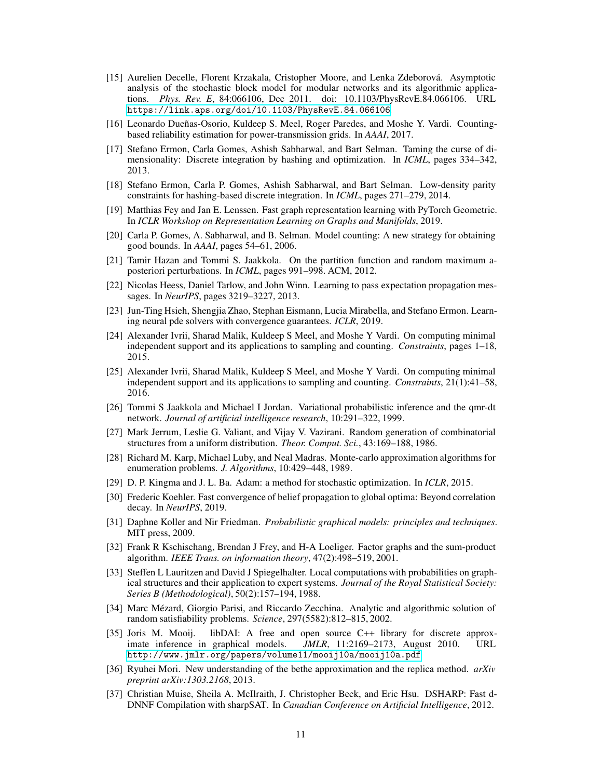- <span id="page-10-21"></span>[15] Aurelien Decelle, Florent Krzakala, Cristopher Moore, and Lenka Zdeborová. Asymptotic analysis of the stochastic block model for modular networks and its algorithmic applications. *Phys. Rev. E*, 84:066106, Dec 2011. doi: 10.1103/PhysRevE.84.066106. URL <https://link.aps.org/doi/10.1103/PhysRevE.84.066106>.
- <span id="page-10-9"></span>[16] Leonardo Dueñas-Osorio, Kuldeep S. Meel, Roger Paredes, and Moshe Y. Vardi. Countingbased reliability estimation for power-transmission grids. In *AAAI*, 2017.
- <span id="page-10-5"></span>[17] Stefano Ermon, Carla Gomes, Ashish Sabharwal, and Bart Selman. Taming the curse of dimensionality: Discrete integration by hashing and optimization. In *ICML*, pages 334–342, 2013.
- <span id="page-10-11"></span>[18] Stefano Ermon, Carla P. Gomes, Ashish Sabharwal, and Bart Selman. Low-density parity constraints for hashing-based discrete integration. In *ICML*, pages 271–279, 2014.
- [19] Matthias Fey and Jan E. Lenssen. Fast graph representation learning with PyTorch Geometric. In *ICLR Workshop on Representation Learning on Graphs and Manifolds*, 2019.
- <span id="page-10-10"></span>[20] Carla P. Gomes, A. Sabharwal, and B. Selman. Model counting: A new strategy for obtaining good bounds. In *AAAI*, pages 54–61, 2006.
- <span id="page-10-4"></span>[21] Tamir Hazan and Tommi S. Jaakkola. On the partition function and random maximum aposteriori perturbations. In *ICML*, pages 991–998. ACM, 2012.
- <span id="page-10-16"></span>[22] Nicolas Heess, Daniel Tarlow, and John Winn. Learning to pass expectation propagation messages. In *NeurIPS*, pages 3219–3227, 2013.
- <span id="page-10-15"></span>[23] Jun-Ting Hsieh, Shengjia Zhao, Stephan Eismann, Lucia Mirabella, and Stefano Ermon. Learning neural pde solvers with convergence guarantees. *ICLR*, 2019.
- <span id="page-10-12"></span>[24] Alexander Ivrii, Sharad Malik, Kuldeep S Meel, and Moshe Y Vardi. On computing minimal independent support and its applications to sampling and counting. *Constraints*, pages 1–18, 2015.
- <span id="page-10-20"></span>[25] Alexander Ivrii, Sharad Malik, Kuldeep S Meel, and Moshe Y Vardi. On computing minimal independent support and its applications to sampling and counting. *Constraints*, 21(1):41–58, 2016.
- <span id="page-10-14"></span>[26] Tommi S Jaakkola and Michael I Jordan. Variational probabilistic inference and the qmr-dt network. *Journal of artificial intelligence research*, 10:291–322, 1999.
- <span id="page-10-2"></span>[27] Mark Jerrum, Leslie G. Valiant, and Vijay V. Vazirani. Random generation of combinatorial structures from a uniform distribution. *Theor. Comput. Sci.*, 43:169–188, 1986.
- <span id="page-10-3"></span>[28] Richard M. Karp, Michael Luby, and Neal Madras. Monte-carlo approximation algorithms for enumeration problems. *J. Algorithms*, 10:429–448, 1989.
- <span id="page-10-19"></span>[29] D. P. Kingma and J. L. Ba. Adam: a method for stochastic optimization. In *ICLR*, 2015.
- <span id="page-10-7"></span>[30] Frederic Koehler. Fast convergence of belief propagation to global optima: Beyond correlation decay. In *NeurIPS*, 2019.
- <span id="page-10-1"></span>[31] Daphne Koller and Nir Friedman. *Probabilistic graphical models: principles and techniques*. MIT press, 2009.
- <span id="page-10-18"></span>[32] Frank R Kschischang, Brendan J Frey, and H-A Loeliger. Factor graphs and the sum-product algorithm. *IEEE Trans. on information theory*, 47(2):498–519, 2001.
- <span id="page-10-6"></span>[33] Steffen L Lauritzen and David J Spiegelhalter. Local computations with probabilities on graphical structures and their application to expert systems. *Journal of the Royal Statistical Society: Series B (Methodological)*, 50(2):157–194, 1988.
- <span id="page-10-0"></span>[34] Marc Mézard, Giorgio Parisi, and Riccardo Zecchina. Analytic and algorithmic solution of random satisfiability problems. *Science*, 297(5582):812–815, 2002.
- <span id="page-10-8"></span>[35] Joris M. Mooij. libDAI: A free and open source C++ library for discrete approx-<br>imate inference in graphical models. *JMLR*, 11:2169–2173, August 2010. URL imate inference in graphical models. *JMLR*, 11:2169–2173, August 2010. URL <http://www.jmlr.org/papers/volume11/mooij10a/mooij10a.pdf>.
- <span id="page-10-17"></span>[36] Ryuhei Mori. New understanding of the bethe approximation and the replica method. *arXiv preprint arXiv:1303.2168*, 2013.
- <span id="page-10-13"></span>[37] Christian Muise, Sheila A. McIlraith, J. Christopher Beck, and Eric Hsu. DSHARP: Fast d-DNNF Compilation with sharpSAT. In *Canadian Conference on Artificial Intelligence*, 2012.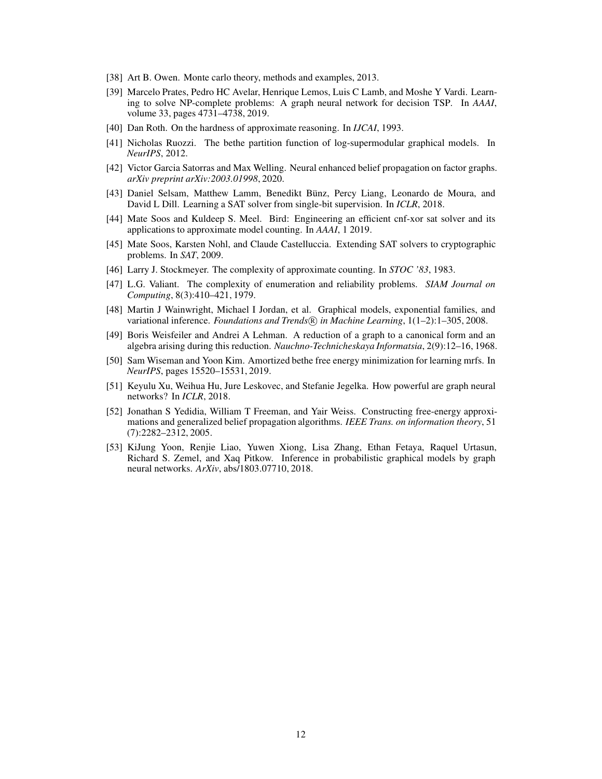- <span id="page-11-1"></span>[38] Art B. Owen. Monte carlo theory, methods and examples, 2013.
- <span id="page-11-9"></span>[39] Marcelo Prates, Pedro HC Avelar, Henrique Lemos, Luis C Lamb, and Moshe Y Vardi. Learning to solve NP-complete problems: A graph neural network for decision TSP. In *AAAI*, volume 33, pages 4731–4738, 2019.
- <span id="page-11-5"></span>[40] Dan Roth. On the hardness of approximate reasoning. In *IJCAI*, 1993.
- <span id="page-11-3"></span>[41] Nicholas Ruozzi. The bethe partition function of log-supermodular graphical models. In *NeurIPS*, 2012.
- <span id="page-11-8"></span>[42] Victor Garcia Satorras and Max Welling. Neural enhanced belief propagation on factor graphs. *arXiv preprint arXiv:2003.01998*, 2020.
- <span id="page-11-7"></span>[43] Daniel Selsam, Matthew Lamm, Benedikt Bünz, Percy Liang, Leonardo de Moura, and David L Dill. Learning a SAT solver from single-bit supervision. In *ICLR*, 2018.
- <span id="page-11-6"></span>[44] Mate Soos and Kuldeep S. Meel. Bird: Engineering an efficient cnf-xor sat solver and its applications to approximate model counting. In *AAAI*, 1 2019.
- <span id="page-11-15"></span>[45] Mate Soos, Karsten Nohl, and Claude Castelluccia. Extending SAT solvers to cryptographic problems. In *SAT*, 2009.
- <span id="page-11-2"></span>[46] Larry J. Stockmeyer. The complexity of approximate counting. In *STOC '83*, 1983.
- <span id="page-11-4"></span>[47] L.G. Valiant. The complexity of enumeration and reliability problems. *SIAM Journal on Computing*, 8(3):410–421, 1979.
- <span id="page-11-0"></span>[48] Martin J Wainwright, Michael I Jordan, et al. Graphical models, exponential families, and variational inference. *Foundations and Trends* ( $\Re$ ) *in Machine Learning*, 1(1–2):1–305, 2008.
- <span id="page-11-14"></span>[49] Boris Weisfeiler and Andrei A Lehman. A reduction of a graph to a canonical form and an algebra arising during this reduction. *Nauchno-Technicheskaya Informatsia*, 2(9):12–16, 1968.
- <span id="page-11-11"></span>[50] Sam Wiseman and Yoon Kim. Amortized bethe free energy minimization for learning mrfs. In *NeurIPS*, pages 15520–15531, 2019.
- <span id="page-11-12"></span>[51] Keyulu Xu, Weihua Hu, Jure Leskovec, and Stefanie Jegelka. How powerful are graph neural networks? In *ICLR*, 2018.
- <span id="page-11-13"></span>[52] Jonathan S Yedidia, William T Freeman, and Yair Weiss. Constructing free-energy approximations and generalized belief propagation algorithms. *IEEE Trans. on information theory*, 51 (7):2282–2312, 2005.
- <span id="page-11-10"></span>[53] KiJung Yoon, Renjie Liao, Yuwen Xiong, Lisa Zhang, Ethan Fetaya, Raquel Urtasun, Richard S. Zemel, and Xaq Pitkow. Inference in probabilistic graphical models by graph neural networks. *ArXiv*, abs/1803.07710, 2018.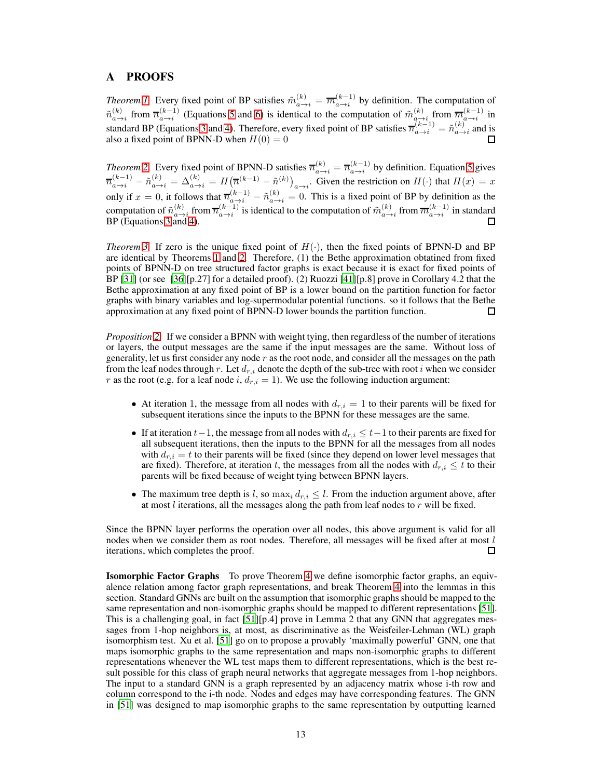# <span id="page-12-0"></span>A PROOFS

*Theorem [1.](#page-3-2)* Every fixed point of BP satisfies  $\tilde{m}^{(k)}_{a\to i} = \overline{m}^{(k-1)}_{a\to i}$  by definition. The computation of  $\tilde{n}_{a\to i}^{(k)}$  from  $\overline{n}_{a\to i}^{(k-1)}$  (Equations [5](#page-2-2) and [6\)](#page-2-3) is identical to the computation of  $\tilde{m}_{a\to i}^{(k)}$  from  $\overline{m}_{a\to i}^{(k-1)}$  in standard BP (Equations [3](#page-1-1) and [4\)](#page-2-1). Therefore, every fixed point of BP satisfies  $\overline{n}_{a\to i}^{(k-1)} = \tilde{n}_{a\to i}^{(k)}$  and is also a fixed point of BPNN-D when  $H(0) = 0$ 

*Theorem* [2.](#page-3-1) Every fixed point of BPNN-D satisfies  $\overline{n}_{a\to i}^{(k)} = \overline{n}_{a\to i}^{(k-1)}$  by definition. Equation [5](#page-2-2) gives  $\overline{n}_{a\to i}^{(k-1)} - \tilde{n}_{a\to i}^{(k)} = \Delta_{a\to i}^{(k)} = H(\overline{n}^{(k-1)} - \tilde{n}^{(k)})_{a\to i}$ . Given the restriction on  $H(\cdot)$  that  $H(x) = x$ only if  $x = 0$ , it follows that  $\overline{n}_{a \to i}^{(k-1)} - \tilde{n}_{a \to i}^{(k)} = 0$ . This is a fixed point of BP by definition as the computation of  $\tilde{n}_{a\to i}^{(k)}$  from  $\overline{n}_{a\to i}^{(k-1)}$  is identical to the computation of  $\tilde{m}_{a\to i}^{(k)}$  from  $\overline{m}_{a\to i}^{(k-1)}$  in standard BP (Equations [3](#page-1-1) and [4\)](#page-2-1).

*Theorem* [3.](#page-3-0) If zero is the unique fixed point of  $H(\cdot)$ , then the fixed points of BPNN-D and BP are identical by Theorems [1](#page-3-2) and [2.](#page-3-1) Therefore, (1) the Bethe approximation obtatined from fixed points of BPNN-D on tree structured factor graphs is exact because it is exact for fixed points of BP [\[31\]](#page-10-1) (or see [\[36\]](#page-10-17)[p.27] for a detailed proof). (2) Ruozzi [\[41](#page-11-3)][p.8] prove in Corollary 4.2 that the Bethe approximation at any fixed point of BP is a lower bound on the partition function for factor graphs with binary variables and log-supermodular potential functions. so it follows that the Bethe approximation at any fixed point of BPNN-D lower bounds the partition function. П

*Proposition [2.](#page-3-4)* If we consider a BPNN with weight tying, then regardless of the number of iterations or layers, the output messages are the same if the input messages are the same. Without loss of generality, let us first consider any node  $r$  as the root node, and consider all the messages on the path from the leaf nodes through r. Let  $d_{r,i}$  denote the depth of the sub-tree with root i when we consider r as the root (e.g. for a leaf node i,  $d_{r,i} = 1$ ). We use the following induction argument:

- At iteration 1, the message from all nodes with  $d_{r,i} = 1$  to their parents will be fixed for subsequent iterations since the inputs to the BPNN for these messages are the same.
- If at iteration  $t-1$ , the message from all nodes with  $d_{r,i} \leq t-1$  to their parents are fixed for all subsequent iterations, then the inputs to the BPNN for all the messages from all nodes with  $d_{r,i} = t$  to their parents will be fixed (since they depend on lower level messages that are fixed). Therefore, at iteration t, the messages from all the nodes with  $d_{r,i} \leq t$  to their parents will be fixed because of weight tying between BPNN layers.
- The maximum tree depth is l, so  $\max_i d_{r,i} \leq l$ . From the induction argument above, after at most  $l$  iterations, all the messages along the path from leaf nodes to  $r$  will be fixed.

Since the BPNN layer performs the operation over all nodes, this above argument is valid for all nodes when we consider them as root nodes. Therefore, all messages will be fixed after at most  $l$ iterations, which completes the proof. П

Isomorphic Factor Graphs To prove Theorem [4](#page-4-0) we define isomorphic factor graphs, an equivalence relation among factor graph representations, and break Theorem [4](#page-4-0) into the lemmas in this section. Standard GNNs are built on the assumption that isomorphic graphs should be mapped to the same representation and non-isomorphic graphs should be mapped to different representations [\[51\]](#page-11-12). This is a challenging goal, in fact [\[51\]](#page-11-12)[p.4] prove in Lemma 2 that any GNN that aggregates messages from 1-hop neighbors is, at most, as discriminative as the Weisfeiler-Lehman (WL) graph isomorphism test. Xu et al. [\[51\]](#page-11-12) go on to propose a provably 'maximally powerful' GNN, one that maps isomorphic graphs to the same representation and maps non-isomorphic graphs to different representations whenever the WL test maps them to different representations, which is the best result possible for this class of graph neural networks that aggregate messages from 1-hop neighbors. The input to a standard GNN is a graph represented by an adjacency matrix whose i-th row and column correspond to the i-th node. Nodes and edges may have corresponding features. The GNN in [\[51\]](#page-11-12) was designed to map isomorphic graphs to the same representation by outputting learned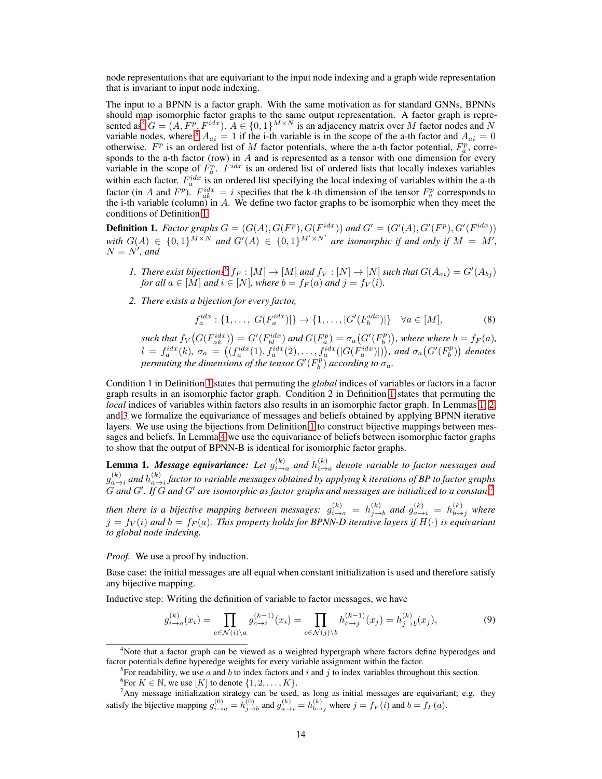node representations that are equivariant to the input node indexing and a graph wide representation that is invariant to input node indexing.

The input to a BPNN is a factor graph. With the same motivation as for standard GNNs, BPNNs should map isomorphic factor graphs to the same output representation. A factor graph is represented as<sup>4</sup>  $G = (A, F^p, F^{idx})$ .  $A \in \{0, 1\}^{M \times N}$  is an adjacency matrix over M factor nodes and N variable nodes, where<sup>5</sup>  $A_{ai} = 1$  if the i-th variable is in the scope of the a-th factor and  $A_{ai} = 0$ otherwise.  $F^p$  is an ordered list of M factor potentials, where the a-th factor potential,  $F^p_a$ , corresponds to the a-th factor (row) in A and is represented as a tensor with one dimension for every variable in the scope of  $F_a^p$ .  $F^{idx}$  is an ordered list of ordered lists that locally indexes variables within each factor.  $F_a^{idx}$  is an ordered list specifying the local indexing of variables within the a-th factor (in A and  $F^p$ ).  $F_{ak}^{idx} = i$  specifies that the k-th dimension of the tensor  $F_a^p$  corresponds to the i-th variable (column) in A. We define two factor graphs to be isomorphic when they meet the conditions of Definition [1.](#page-13-0)

<span id="page-13-0"></span>**Definition 1.** *Factor graphs*  $G = (G(A), G(F^p), G(F^{idx}))$  and  $G' = (G'(A), G'(F^p), G'(F^{idx}))$ *with*  $G(A) \in \{0,1\}^{M \times N}$  and  $G'(A) \in \{0,1\}^{M' \times N'}$  are isomorphic if and only if  $M = M'$ ,  $N = N'$ *, and* 

- *1. There exist bijections*<sup>6</sup>  $f_F : [M] \to [M]$  *and*  $f_V : [N] \to [N]$  *such that*  $G(A_{ai}) = G'(A_{bj})$ *for all*  $a \in [M]$  *and*  $i \in [N]$ *, where*  $b = f_F(a)$  *and*  $j = f_V(i)$ *.*
- *2. There exists a bijection for every factor,*

$$
f_a^{idx}: \{1, \ldots, |G(F_a^{idx})|\} \to \{1, \ldots, |G'(F_b^{idx})|\} \quad \forall a \in [M],
$$
 (8)

such that  $f_V(G(F_{ak}^{idx}) ) = G'(F_{bl}^{idx})$  and  $G(F_a^p) = \sigma_a(G'(F_b^p))$ , where where  $b = f_F(a)$ ,  $l = f_a^{idx}(k)$ ,  $\sigma_a = ((f_a^{idx}(1), f_a^{idx}(2), \ldots, f_a^{idx}(|G(F_a^{idx})|))$ , and  $\sigma_a(G'(F_b^p))$  denotes *permuting the dimensions of the tensor*  $G'(F_b^p)$  *according to*  $\sigma_a$ *.* 

Condition 1 in Definition [1](#page-13-0) states that permuting the *global* indices of variables or factors in a factor graph results in an isomorphic factor graph. Condition 2 in Definition [1](#page-13-0) states that permuting the *local* indices of variables within factors also results in an isomorphic factor graph. In Lemmas [1,](#page-13-1) [2,](#page-14-0) and [3](#page-14-1) we formalize the equivariance of messages and beliefs obtained by applying BPNN iterative layers. We use using the bijections from Definition [1](#page-13-0) to construct bijective mappings between messages and beliefs. In Lemma [4](#page-14-2) we use the equivariance of beliefs between isomorphic factor graphs to show that the output of BPNN-B is identical for isomorphic factor graphs.

<span id="page-13-1"></span>**Lemma 1. Message equivariance:** Let  $g_{i\to a}^{(k)}$  and  $h_{i\to a}^{(k)}$  denote variable to factor messages and  $g_{a\to i}^{(k)}$  and  $h_{a\to i}^{(k)}$  factor to variable messages obtained by applying k iterations of BP to factor graphs G *and* G′ *. If* G *and* G′ *are isomorphic as factor graphs and messages are initialized to a constant*<sup>7</sup>

then there is a bijective mapping between messages:  $g_{i\rightarrow a}^{(k)} = h_{j\rightarrow a}^{(k)}$  $j \rightarrow b$  and  $g_{a \rightarrow i}^{(k)} = h_{b \rightarrow j}^{(k)}$  where  $j = f_V(i)$  and  $b = f_F(a)$ . This property holds for BPNN-D iterative layers if  $H(\cdot)$  is equivariant *to global node indexing.*

*Proof.* We use a proof by induction.

Base case: the initial messages are all equal when constant initialization is used and therefore satisfy any bijective mapping.

Inductive step: Writing the definition of variable to factor messages, we have

$$
g_{i \to a}^{(k)}(x_i) = \prod_{c \in \mathcal{N}(i) \setminus a} g_{c \to i}^{(k-1)}(x_i) = \prod_{c \in \mathcal{N}(j) \setminus b} h_{c \to j}^{(k-1)}(x_j) = h_{j \to b}^{(k)}(x_j),
$$
(9)

 $4$ Note that a factor graph can be viewed as a weighted hypergraph where factors define hyperedges and factor potentials define hyperedge weights for every variable assignment within the factor.

<sup>&</sup>lt;sup>5</sup>For readability, we use a and b to index factors and i and j to index variables throughout this section.

<sup>&</sup>lt;sup>6</sup>For  $K \in \mathbb{N}$ , we use  $[K]$  to denote  $\{1, 2, \ldots, K\}$ .

 $7$ Any message initialization strategy can be used, as long as initial messages are equivariant; e.g. they satisfy the bijective mapping  $g_{i \to a}^{(0)} = h_{j \to b}^{(0)}$  and  $g_{a \to i}^{(k)} = h_{b \to j}^{(k)}$  where  $j = f_V(i)$  and  $b = f_F(a)$ .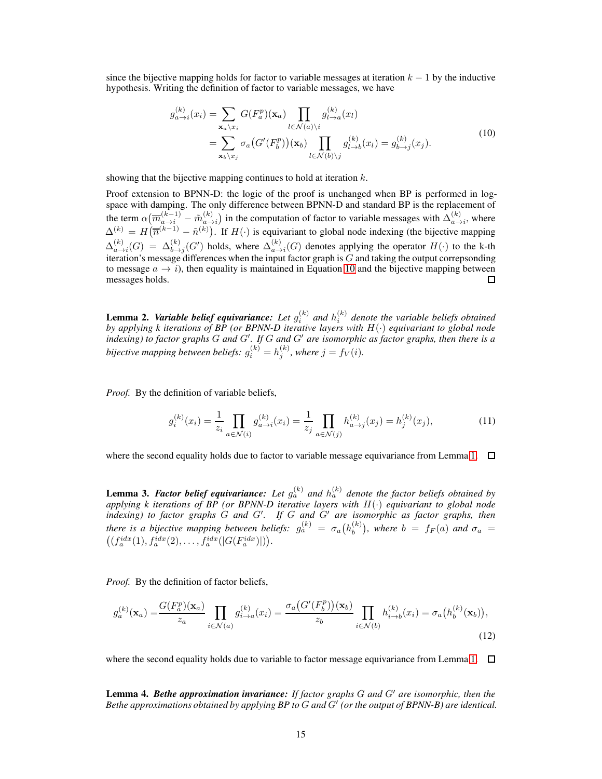since the bijective mapping holds for factor to variable messages at iteration  $k - 1$  by the inductive hypothesis. Writing the definition of factor to variable messages, we have

<span id="page-14-3"></span>
$$
g_{a\to i}^{(k)}(x_i) = \sum_{\mathbf{x}_a \backslash x_i} G(F_a^p)(\mathbf{x}_a) \prod_{l \in \mathcal{N}(a) \backslash i} g_{l \to a}^{(k)}(x_l)
$$
  

$$
= \sum_{\mathbf{x}_b \backslash x_j} \sigma_a(G'(F_b^p))(\mathbf{x}_b) \prod_{l \in \mathcal{N}(b) \backslash j} g_{l \to b}^{(k)}(x_l) = g_{b \to j}^{(k)}(x_j).
$$
 (10)

showing that the bijective mapping continues to hold at iteration  $k$ .

Proof extension to BPNN-D: the logic of the proof is unchanged when BP is performed in logspace with damping. The only difference between BPNN-D and standard BP is the replacement of the term  $\alpha(\overline{m}_{a\to i}^{(k-1)} - \tilde{m}_{a\to i}^{(k)})$  in the computation of factor to variable messages with  $\Delta_{a\to i}^{(k)}$ , where  $\Delta^{(k)} = H(\overline{n}^{(k-1)} - \tilde{n}^{(k)})$ . If  $H(\cdot)$  is equivariant to global node indexing (the bijective mapping  $\Delta_{a\to i}^{(k)}(G) = \Delta_{b\to j}^{(k)}(G')$  holds, where  $\Delta_{a\to i}^{(k)}(G)$  denotes applying the operator  $H(\cdot)$  to the k-th iteration's message differences when the input factor graph is  $G$  and taking the output correpsonding to message  $a \rightarrow i$ ), then equality is maintained in Equation [10](#page-14-3) and the bijective mapping between messages holds. П

<span id="page-14-0"></span>**Lemma 2. Variable belief equivariance:** Let  $g_i^{(k)}$  and  $h_i^{(k)}$  denote the variable beliefs obtained *by applying k iterations of BP (or BPNN-D iterative layers with* H(·) *equivariant to global node indexing) to factor graphs* G *and* G′ *. If* G *and* G′ *are isomorphic as factor graphs, then there is a* bijective mapping between beliefs:  $g_i^{(k)} = h_j^{(k)}$ , where  $j = f_V(i)$ .

*Proof.* By the definition of variable beliefs,

$$
g_i^{(k)}(x_i) = \frac{1}{z_i} \prod_{a \in \mathcal{N}(i)} g_{a \to i}^{(k)}(x_i) = \frac{1}{z_j} \prod_{a \in \mathcal{N}(j)} h_{a \to j}^{(k)}(x_j) = h_j^{(k)}(x_j),
$$
(11)

where the second equality holds due to factor to variable message equivariance from Lemma [1.](#page-13-1)  $\Box$ 

<span id="page-14-1"></span>**Lemma 3. Factor belief equivariance:** Let  $g_a^{(k)}$  and  $h_a^{(k)}$  denote the factor beliefs obtained by *applying k iterations of BP (or BPNN-D iterative layers with* H(·) *equivariant to global node indexing) to factor graphs* G *and* G′ *. If* G *and* G′ *are isomorphic as factor graphs, then there is a bijective mapping between beliefs:*  $g_a^{(k)} = \sigma_a(h_b^{(k)})$ , where  $b = f_F(a)$  and  $\sigma_a =$  $((f_a^{idx}(1), f_a^{idx}(2), \ldots, f_a^{idx}(|G(F_a^{idx})|)).$ 

*Proof.* By the definition of factor beliefs,

$$
g_a^{(k)}(\mathbf{x}_a) = \frac{G(F_a^p)(\mathbf{x}_a)}{z_a} \prod_{i \in \mathcal{N}(a)} g_{i \to a}^{(k)}(x_i) = \frac{\sigma_a \left(G'(F_b^p)\right)(\mathbf{x}_b)}{z_b} \prod_{i \in \mathcal{N}(b)} h_{i \to b}^{(k)}(x_i) = \sigma_a \left(h_b^{(k)}(\mathbf{x}_b)\right),\tag{12}
$$

where the second equality holds due to variable to factor message equivariance from Lemma [1.](#page-13-1)  $\Box$ 

<span id="page-14-2"></span>Lemma 4. *Bethe approximation invariance: If factor graphs* G *and* G′ *are isomorphic, then the Bethe approximations obtained by applying BP to* G *and* G′ *(or the output of BPNN-B) are identical.*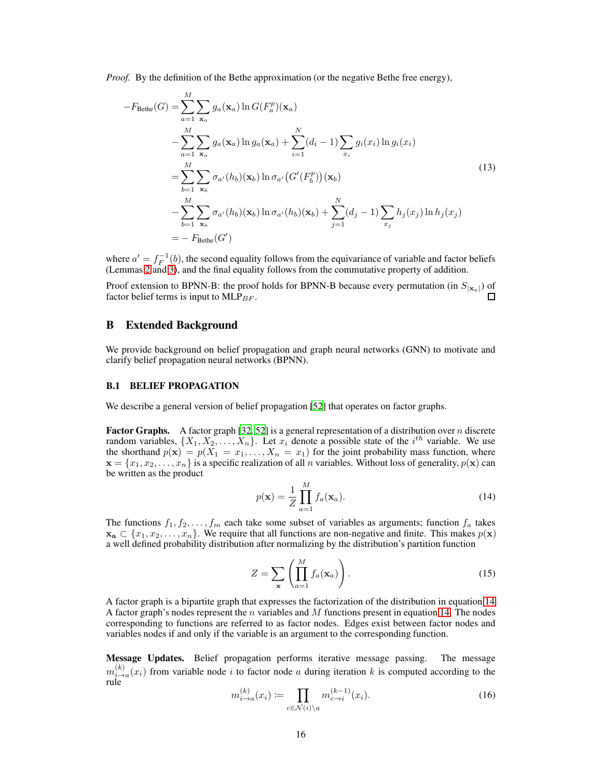*Proof.* By the definition of the Bethe approximation (or the negative Bethe free energy),

$$
-F_{Bethe}(G) = \sum_{a=1}^{M} \sum_{\mathbf{x}_a} g_a(\mathbf{x}_a) \ln G(F_a^p)(\mathbf{x}_a)
$$
  
\n
$$
- \sum_{a=1}^{M} \sum_{\mathbf{x}_a} g_a(\mathbf{x}_a) \ln g_a(\mathbf{x}_a) + \sum_{i=1}^{N} (d_i - 1) \sum_{x_i} g_i(x_i) \ln g_i(x_i)
$$
  
\n
$$
= \sum_{b=1}^{M} \sum_{\mathbf{x}_b} \sigma_{a'}(h_b)(\mathbf{x}_b) \ln \sigma_{a'}(G'(F_b^p))(\mathbf{x}_b)
$$
  
\n
$$
- \sum_{b=1}^{M} \sum_{\mathbf{x}_b} \sigma_{a'}(h_b)(\mathbf{x}_b) \ln \sigma_{a'}(h_b)(\mathbf{x}_b) + \sum_{j=1}^{N} (d_j - 1) \sum_{x_j} h_j(x_j) \ln h_j(x_j)
$$
  
\n
$$
= -F_{Bethe}(G')
$$
\n(13)

where  $a' = f_F^{-1}(b)$ , the second equality follows from the equivariance of variable and factor beliefs (Lemmas [2](#page-14-0) and [3\)](#page-14-1), and the final equality follows from the commutative property of addition.

Proof extension to BPNN-B: the proof holds for BPNN-B because every permutation (in  $S_{|\mathbf{x}_a|}$ ) of factor belief terms is input to  $MLP_{BF}$ .

# B Extended Background

We provide background on belief propagation and graph neural networks (GNN) to motivate and clarify belief propagation neural networks (BPNN).

#### B.1 BELIEF PROPAGATION

We describe a general version of belief propagation [\[52\]](#page-11-13) that operates on factor graphs.

**Factor Graphs.** A factor graph [\[32](#page-10-18), [52\]](#page-11-13) is a general representation of a distribution over n discrete random variables,  $\{X_1, X_2, \ldots, X_n\}$ . Let  $x_i$  denote a possible state of the  $i^{th}$  variable. We use the shorthand  $p(\mathbf{x}) = p(X_1 = x_1, \dots, X_n = x_1)$  for the joint probability mass function, where  $\mathbf{x} = \{x_1, x_2, \dots, x_n\}$  is a specific realization of all n variables. Without loss of generality,  $p(\mathbf{x})$  can be written as the product

<span id="page-15-0"></span>
$$
p(\mathbf{x}) = \frac{1}{Z} \prod_{a=1}^{M} f_a(\mathbf{x}_a).
$$
 (14)

The functions  $f_1, f_2, \ldots, f_m$  each take some subset of variables as arguments; function  $f_a$  takes  $x_a \,\subset \{x_1, x_2, \ldots, x_n\}.$  We require that all functions are non-negative and finite. This makes  $p(x)$ a well defined probability distribution after normalizing by the distribution's partition function

$$
Z = \sum_{\mathbf{x}} \left( \prod_{a=1}^{M} f_a(\mathbf{x}_a) \right). \tag{15}
$$

A factor graph is a bipartite graph that expresses the factorization of the distribution in equation [14.](#page-15-0) A factor graph's nodes represent the n variables and M functions present in equation [14.](#page-15-0) The nodes corresponding to functions are referred to as factor nodes. Edges exist between factor nodes and variables nodes if and only if the variable is an argument to the corresponding function.

<span id="page-15-1"></span>Message Updates. Belief propagation performs iterative message passing. The message  $m_{i\rightarrow a}^{(k)}(x_i)$  from variable node i to factor node a during iteration k is computed according to the rule

$$
m_{i \to a}^{(k)}(x_i) \coloneqq \prod_{c \in \mathcal{N}(i) \setminus a} m_{c \to i}^{(k-1)}(x_i). \tag{16}
$$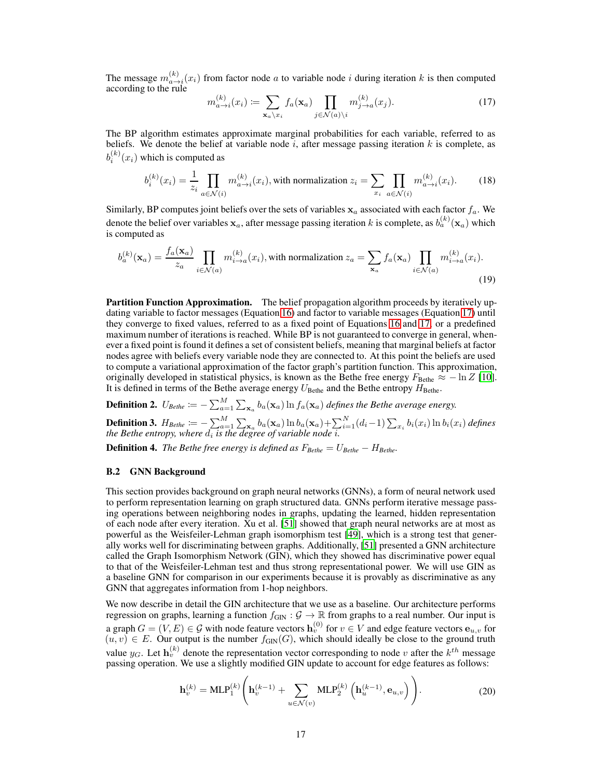The message  $m_{a\to i}^{(k)}(x_i)$  from factor node a to variable node i during iteration k is then computed according to the rule

<span id="page-16-1"></span>
$$
m_{a \to i}^{(k)}(x_i) \coloneqq \sum_{\mathbf{x}_a \backslash x_i} f_a(\mathbf{x}_a) \prod_{j \in \mathcal{N}(a) \backslash i} m_{j \to a}^{(k)}(x_j). \tag{17}
$$

The BP algorithm estimates approximate marginal probabilities for each variable, referred to as beliefs. We denote the belief at variable node  $i$ , after message passing iteration  $k$  is complete, as  $b_i^{(k)}(x_i)$  which is computed as

$$
b_i^{(k)}(x_i) = \frac{1}{z_i} \prod_{a \in \mathcal{N}(i)} m_{a \to i}^{(k)}(x_i)
$$
, with normalization  $z_i = \sum_{x_i} \prod_{a \in \mathcal{N}(i)} m_{a \to i}^{(k)}(x_i)$ . (18)

Similarly, BP computes joint beliefs over the sets of variables  $x_a$  associated with each factor  $f_a$ . We denote the belief over variables  $\mathbf{x}_a$ , after message passing iteration  $k$  is complete, as  $b_a^{(k)}(\mathbf{x}_a)$  which is computed as

$$
b_a^{(k)}(\mathbf{x}_a) = \frac{f_a(\mathbf{x}_a)}{z_a} \prod_{i \in \mathcal{N}(a)} m_{i \to a}^{(k)}(x_i)
$$
, with normalization  $z_a = \sum_{\mathbf{x}_a} f_a(\mathbf{x}_a) \prod_{i \in \mathcal{N}(a)} m_{i \to a}^{(k)}(x_i)$ . (19)

Partition Function Approximation. The belief propagation algorithm proceeds by iteratively updating variable to factor messages (Equation [16\)](#page-15-1) and factor to variable messages (Equation [17\)](#page-16-1) until they converge to fixed values, referred to as a fixed point of Equations [16](#page-15-1) and [17,](#page-16-1) or a predefined maximum number of iterations is reached. While BP is not guaranteed to converge in general, whenever a fixed point is found it defines a set of consistent beliefs, meaning that marginal beliefs at factor nodes agree with beliefs every variable node they are connected to. At this point the beliefs are used to compute a variational approximation of the factor graph's partition function. This approximation, originally developed in statistical physics, is known as the Bethe free energy  $F_{\text{Bethe}} \approx -\ln Z$  [\[10\]](#page-9-3). It is defined in terms of the Bethe average energy  $U_{\text{Bethe}}$  and the Bethe entropy  $H_{\text{Bethe}}$ .

**Definition 2.**  $U_{Bethe} \coloneqq -\sum_{a=1}^{M} \sum_{\mathbf{x}_a} b_a(\mathbf{x}_a) \ln f_a(\mathbf{x}_a)$  defines the Bethe average energy. **Definition 3.**  $H_{Bethe} \coloneqq -\sum_{a=1}^{M} \sum_{\mathbf{x}_a} b_a(\mathbf{x}_a) \ln b_a(\mathbf{x}_a) + \sum_{i=1}^{N} (d_i-1) \sum_{x_i} b_i(x_i) \ln b_i(x_i)$  defines *the Bethe entropy, where*  $d_i$  *is the degree of variable node i.* 

<span id="page-16-0"></span>**Definition 4.** *The Bethe free energy is defined as*  $F_{Bethe} = U_{Bethe} - H_{Bethe}$ .

## B.2 GNN Background

This section provides background on graph neural networks (GNNs), a form of neural network used to perform representation learning on graph structured data. GNNs perform iterative message passing operations between neighboring nodes in graphs, updating the learned, hidden representation of each node after every iteration. Xu et al. [\[51\]](#page-11-12) showed that graph neural networks are at most as powerful as the Weisfeiler-Lehman graph isomorphism test [\[49\]](#page-11-14), which is a strong test that generally works well for discriminating between graphs. Additionally, [\[51\]](#page-11-12) presented a GNN architecture called the Graph Isomorphism Network (GIN), which they showed has discriminative power equal to that of the Weisfeiler-Lehman test and thus strong representational power. We will use GIN as a baseline GNN for comparison in our experiments because it is provably as discriminative as any GNN that aggregates information from 1-hop neighbors.

We now describe in detail the GIN architecture that we use as a baseline. Our architecture performs regression on graphs, learning a function  $f_{\text{GIN}}$  :  $\mathcal{G} \to \mathbb{R}$  from graphs to a real number. Our input is a graph  $G = (V, E) \in \mathcal{G}$  with node feature vectors  $\mathbf{h}_v^{(0)}$  for  $v \in V$  and edge feature vectors  $\mathbf{e}_{u,v}$  for  $(u, v) \in E$ . Our output is the number  $f_{\text{GIN}}(G)$ , which should ideally be close to the ground truth value  $y_G$ . Let  $\mathbf{h}_v^{(k)}$  denote the representation vector corresponding to node v after the  $k^{th}$  message passing operation. We use a slightly modified GIN update to account for edge features as follows:

<span id="page-16-2"></span>
$$
\mathbf{h}_{v}^{(k)} = \text{MLP}_{1}^{(k)} \left( \mathbf{h}_{v}^{(k-1)} + \sum_{u \in \mathcal{N}(v)} \text{MLP}_{2}^{(k)} \left( \mathbf{h}_{u}^{(k-1)}, \mathbf{e}_{u,v} \right) \right).
$$
 (20)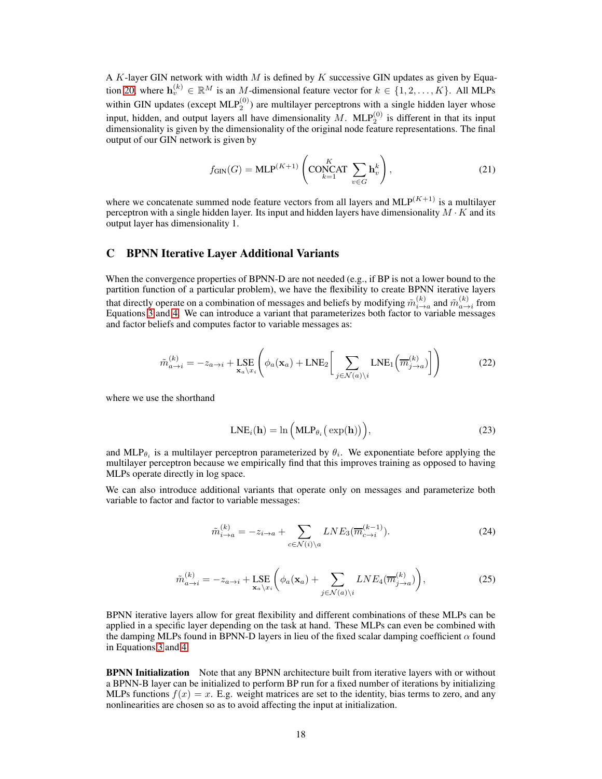A K-layer GIN network with width M is defined by K successive GIN updates as given by Equa-tion [20,](#page-16-2) where  $\mathbf{h}_v^{(k)} \in \mathbb{R}^M$  is an M-dimensional feature vector for  $k \in \{1, 2, ..., K\}$ . All MLPs within GIN updates (except  $MLP_2^{(0)}$ ) are multilayer perceptrons with a single hidden layer whose input, hidden, and output layers all have dimensionality M. MLP $_2^{(0)}$  is different in that its input dimensionality is given by the dimensionality of the original node feature representations. The final output of our GIN network is given by

$$
f_{\text{GIN}}(G) = \text{MLP}^{(K+1)}\left(\text{CONCAT}\sum_{k=1}^{K} \mathbf{h}_v^k\right),\tag{21}
$$

where we concatenate summed node feature vectors from all layers and  $MLP^{(K+1)}$  is a multilayer perceptron with a single hidden layer. Its input and hidden layers have dimensionality  $M \cdot K$  and its output layer has dimensionality 1.

# <span id="page-17-0"></span>C BPNN Iterative Layer Additional Variants

When the convergence properties of BPNN-D are not needed (e.g., if BP is not a lower bound to the partition function of a particular problem), we have the flexibility to create BPNN iterative layers that directly operate on a combination of messages and beliefs by modifying  $\tilde{m}^{(k)}_{i\to a}$  and  $\tilde{m}^{(k)}_{a\to i}$  from Equations [3](#page-1-1) and [4.](#page-2-1) We can introduce a variant that parameterizes both factor to variable messages and factor beliefs and computes factor to variable messages as:

$$
\tilde{m}_{a \to i}^{(k)} = -z_{a \to i} + \text{LSE}_{\mathbf{x}_a \setminus x_i} \left( \phi_a(\mathbf{x}_a) + \text{LNE}_2 \left[ \sum_{j \in \mathcal{N}(a) \setminus i} \text{LNE}_1 \left( \overline{m}_{j \to a}^{(k)} \right) \right] \right)
$$
(22)

where we use the shorthand

$$
LNE_i(\mathbf{h}) = \ln\left(\text{MLP}_{\theta_i}\left(\exp(\mathbf{h})\right)\right),\tag{23}
$$

and MLP $_{\theta_i}$  is a multilayer perceptron parameterized by  $\theta_i$ . We exponentiate before applying the multilayer perceptron because we empirically find that this improves training as opposed to having MLPs operate directly in log space.

We can also introduce additional variants that operate only on messages and parameterize both variable to factor and factor to variable messages:

$$
\tilde{m}_{i \to a}^{(k)} = -z_{i \to a} + \sum_{c \in \mathcal{N}(i) \backslash a} LNE_3(\overline{m}_{c \to i}^{(k-1)}).
$$
\n(24)

$$
\tilde{m}_{a \to i}^{(k)} = -z_{a \to i} + \text{LSE}_{\mathbf{x}_a \setminus x_i} \bigg( \phi_a(\mathbf{x}_a) + \sum_{j \in \mathcal{N}(a) \setminus i} LNE_4(\overline{m}_{j \to a}^{(k)}) \bigg), \tag{25}
$$

BPNN iterative layers allow for great flexibility and different combinations of these MLPs can be applied in a specific layer depending on the task at hand. These MLPs can even be combined with the damping MLPs found in BPNN-D layers in lieu of the fixed scalar damping coefficient  $\alpha$  found in Equations [3](#page-1-1) and [4.](#page-2-1)

BPNN Initialization Note that any BPNN architecture built from iterative layers with or without a BPNN-B layer can be initialized to perform BP run for a fixed number of iterations by initializing MLPs functions  $f(x) = x$ . E.g. weight matrices are set to the identity, bias terms to zero, and any nonlinearities are chosen so as to avoid affecting the input at initialization.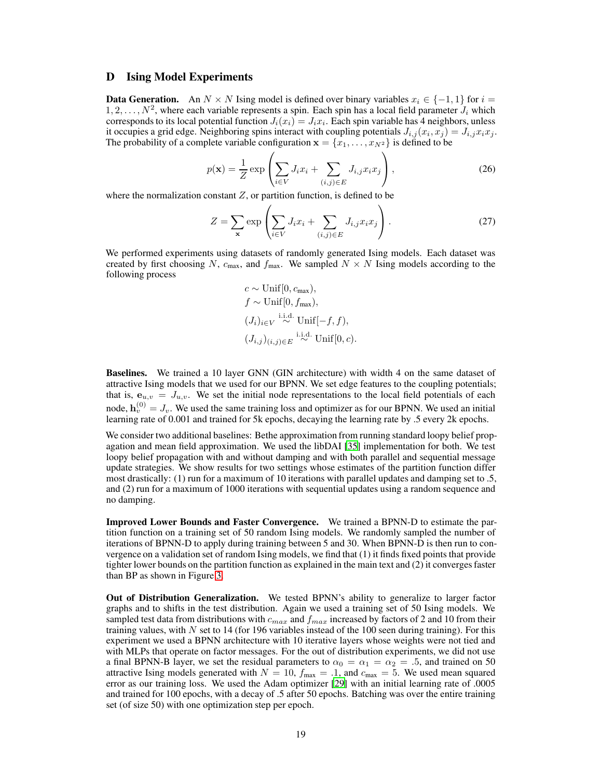### D Ising Model Experiments

**Data Generation.** An  $N \times N$  Ising model is defined over binary variables  $x_i \in \{-1, 1\}$  for  $i =$  $1, 2, \ldots, N^2$ , where each variable represents a spin. Each spin has a local field parameter  $J_i$  which corresponds to its local potential function  $J_i(x_i) = J_i x_i$ . Each spin variable has 4 neighbors, unless it occupies a grid edge. Neighboring spins interact with coupling potentials  $J_{i,j}(x_i, x_j) = J_{i,j}x_ix_j$ . The probability of a complete variable configuration  $\mathbf{x} = \{x_1, \ldots, x_{N^2}\}\)$  is defined to be

$$
p(\mathbf{x}) = \frac{1}{Z} \exp\left(\sum_{i \in V} J_i x_i + \sum_{(i,j) \in E} J_{i,j} x_i x_j\right),\tag{26}
$$

where the normalization constant  $Z$ , or partition function, is defined to be

$$
Z = \sum_{\mathbf{x}} \exp\left(\sum_{i \in V} J_i x_i + \sum_{(i,j) \in E} J_{i,j} x_i x_j\right). \tag{27}
$$

We performed experiments using datasets of randomly generated Ising models. Each dataset was created by first choosing N,  $c_{\text{max}}$ , and  $f_{\text{max}}$ . We sampled  $N \times N$  Ising models according to the following process

$$
c \sim \text{Unif}[0, c_{\text{max}}),
$$
  
\n
$$
f \sim \text{Unif}[0, f_{\text{max}}),
$$
  
\n
$$
(J_i)_{i \in V} \sim \text{Unif}[-f, f),
$$
  
\n
$$
(J_{i,j})_{(i,j) \in E} \sim \text{Unif}[0, c).
$$

Baselines. We trained a 10 layer GNN (GIN architecture) with width 4 on the same dataset of attractive Ising models that we used for our BPNN. We set edge features to the coupling potentials; that is,  $e_{u,v} = J_{u,v}$ . We set the initial node representations to the local field potentials of each node,  $\mathbf{h}_v^{(0)} = J_v$ . We used the same training loss and optimizer as for our BPNN. We used an initial learning rate of 0.001 and trained for 5k epochs, decaying the learning rate by .5 every 2k epochs.

We consider two additional baselines: Bethe approximation from running standard loopy belief propagation and mean field approximation. We used the libDAI [\[35\]](#page-10-8) implementation for both. We test loopy belief propagation with and without damping and with both parallel and sequential message update strategies. We show results for two settings whose estimates of the partition function differ most drastically: (1) run for a maximum of 10 iterations with parallel updates and damping set to .5, and (2) run for a maximum of 1000 iterations with sequential updates using a random sequence and no damping.

Improved Lower Bounds and Faster Convergence. We trained a BPNN-D to estimate the partition function on a training set of 50 random Ising models. We randomly sampled the number of iterations of BPNN-D to apply during training between 5 and 30. When BPNN-D is then run to convergence on a validation set of random Ising models, we find that (1) it finds fixed points that provide tighter lower bounds on the partition function as explained in the main text and (2) it converges faster than BP as shown in Figure [3.](#page-19-0)

Out of Distribution Generalization. We tested BPNN's ability to generalize to larger factor graphs and to shifts in the test distribution. Again we used a training set of 50 Ising models. We sampled test data from distributions with  $c_{max}$  and  $f_{max}$  increased by factors of 2 and 10 from their training values, with N set to 14 (for 196 variables instead of the 100 seen during training). For this experiment we used a BPNN architecture with 10 iterative layers whose weights were not tied and with MLPs that operate on factor messages. For the out of distribution experiments, we did not use a final BPNN-B layer, we set the residual parameters to  $\alpha_0 = \alpha_1 = \alpha_2 = .5$ , and trained on 50 attractive Ising models generated with  $N = 10$ ,  $f_{\text{max}} = .1$ , and  $c_{\text{max}} = 5$ . We used mean squared error as our training loss. We used the Adam optimizer [\[29](#page-10-19)] with an initial learning rate of .0005 and trained for 100 epochs, with a decay of .5 after 50 epochs. Batching was over the entire training set (of size 50) with one optimization step per epoch.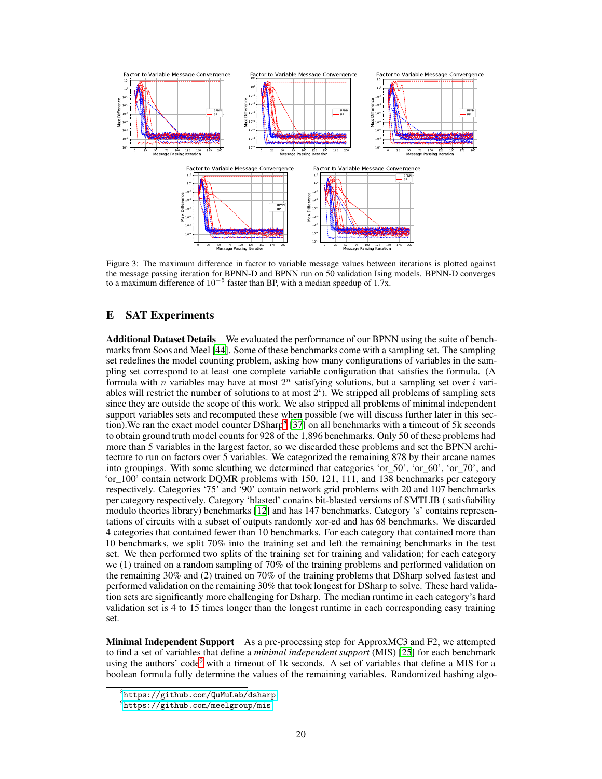<span id="page-19-0"></span>

Figure 3: The maximum difference in factor to variable message values between iterations is plotted against the message passing iteration for BPNN-D and BPNN run on 50 validation Ising models. BPNN-D converges to a maximum difference of  $10^{-5}$  faster than BP, with a median speedup of 1.7x.

# E SAT Experiments

Additional Dataset Details We evaluated the performance of our BPNN using the suite of benchmarks from Soos and Meel [\[44](#page-11-6)]. Some of these benchmarks come with a sampling set. The sampling set redefines the model counting problem, asking how many configurations of variables in the sampling set correspond to at least one complete variable configuration that satisfies the formula. (A formula with n variables may have at most  $2^n$  satisfying solutions, but a sampling set over i variables will restrict the number of solutions to at most  $2<sup>i</sup>$ ). We stripped all problems of sampling sets since they are outside the scope of this work. We also stripped all problems of minimal independent support variables sets and recomputed these when possible (we will discuss further later in this sec-tion). We ran the exact model counter DSharp<sup>8</sup> [\[37\]](#page-10-13) on all benchmarks with a timeout of 5k seconds to obtain ground truth model counts for 928 of the 1,896 benchmarks. Only 50 of these problems had more than 5 variables in the largest factor, so we discarded these problems and set the BPNN architecture to run on factors over 5 variables. We categorized the remaining 878 by their arcane names into groupings. With some sleuthing we determined that categories 'or\_50', 'or\_60', 'or\_70', and 'or\_100' contain network DQMR problems with 150, 121, 111, and 138 benchmarks per category respectively. Categories '75' and '90' contain network grid problems with 20 and 107 benchmarks per category respectively. Category 'blasted' conains bit-blasted versions of SMTLIB ( satisfiability modulo theories library) benchmarks [\[12](#page-9-11)] and has 147 benchmarks. Category 's' contains representations of circuits with a subset of outputs randomly xor-ed and has 68 benchmarks. We discarded 4 categories that contained fewer than 10 benchmarks. For each category that contained more than 10 benchmarks, we split 70% into the training set and left the remaining benchmarks in the test set. We then performed two splits of the training set for training and validation; for each category we (1) trained on a random sampling of 70% of the training problems and performed validation on the remaining 30% and (2) trained on 70% of the training problems that DSharp solved fastest and performed validation on the remaining 30% that took longest for DSharp to solve. These hard validation sets are significantly more challenging for Dsharp. The median runtime in each category's hard validation set is 4 to 15 times longer than the longest runtime in each corresponding easy training set.

Minimal Independent Support As a pre-processing step for ApproxMC3 and F2, we attempted to find a set of variables that define a *minimal independent support* (MIS) [\[25\]](#page-10-20) for each benchmark using the authors' code<sup>9</sup> with a timeout of 1k seconds. A set of variables that define a MIS for a boolean formula fully determine the values of the remaining variables. Randomized hashing algo-

 $^8$ <https://github.com/QuMuLab/dsharp>

 $^{9}$ <https://github.com/meelgroup/mis>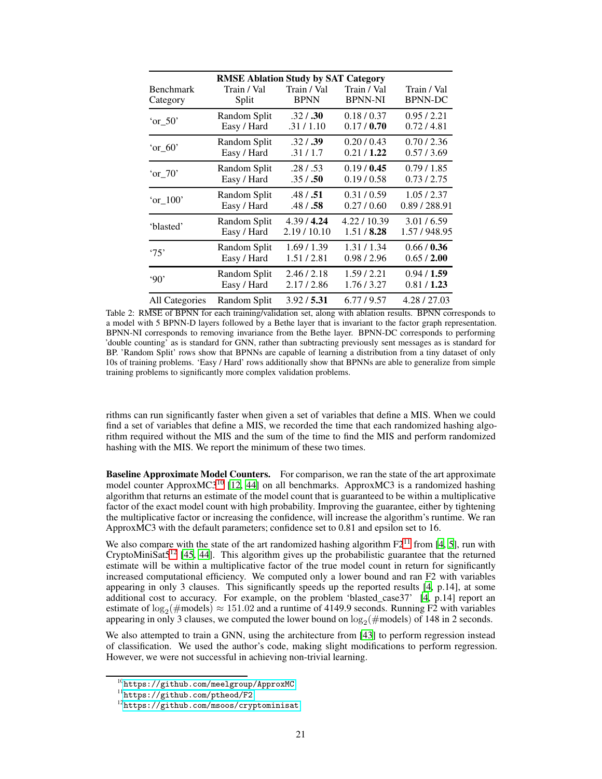<span id="page-20-0"></span>

| <b>RMSE Ablation Study by SAT Category</b> |              |             |                |                |
|--------------------------------------------|--------------|-------------|----------------|----------------|
| <b>Benchmark</b>                           | Train / Val  | Train / Val | Train / Val    | Train / Val    |
| Category                                   | Split        | <b>BPNN</b> | <b>BPNN-NI</b> | <b>BPNN-DC</b> |
| $\text{or}\,50'$                           | Random Split | .32 / .30   | 0.18/0.37      | 0.95/2.21      |
|                                            | Easy / Hard  | .31/1.10    | 0.17/0.70      | 0.72/4.81      |
| $'or_60'$                                  | Random Split | .32 / .39   | 0.20/0.43      | 0.70/2.36      |
|                                            | Easy / Hard  | .31/1.7     | 0.21/1.22      | 0.57/3.69      |
| $'or_70'$                                  | Random Split | .28 / .53   | 0.19/0.45      | 0.79/1.85      |
|                                            | Easy / Hard  | .35 / .50   | 0.19/0.58      | 0.73/2.75      |
| $'or_100'$                                 | Random Split | .48 / .51   | 0.31/0.59      | 1.05/2.37      |
|                                            | Easy / Hard  | .48 / .58   | 0.27/0.60      | 0.89 / 288.91  |
| 'blasted'                                  | Random Split | 4.39/4.24   | 4.22/10.39     | 3.01 / 6.59    |
|                                            | Easy / Hard  | 2.19/10.10  | 1.51/8.28      | 1.57/948.95    |
| '75'                                       | Random Split | 1.69/1.39   | 1.31/1.34      | 0.66/0.36      |
|                                            | Easy / Hard  | 1.51/2.81   | 0.98/2.96      | 0.65/2.00      |
| 90'                                        | Random Split | 2.46/2.18   | 1.59/2.21      | 0.94/1.59      |
|                                            | Easy / Hard  | 2.17/2.86   | 1.76/3.27      | 0.81 / 1.23    |
| All Categories                             | Random Split | 3.92/5.31   | 6.77/9.57      | 4.28/27.03     |

Table 2: RMSE of BPNN for each training/validation set, along with ablation results. BPNN corresponds to a model with 5 BPNN-D layers followed by a Bethe layer that is invariant to the factor graph representation. BPNN-NI corresponds to removing invariance from the Bethe layer. BPNN-DC corresponds to performing 'double counting' as is standard for GNN, rather than subtracting previously sent messages as is standard for BP. 'Random Split' rows show that BPNNs are capable of learning a distribution from a tiny dataset of only 10s of training problems. 'Easy / Hard' rows additionally show that BPNNs are able to generalize from simple training problems to significantly more complex validation problems.

rithms can run significantly faster when given a set of variables that define a MIS. When we could find a set of variables that define a MIS, we recorded the time that each randomized hashing algorithm required without the MIS and the sum of the time to find the MIS and perform randomized hashing with the MIS. We report the minimum of these two times.

**Baseline Approximate Model Counters.** For comparison, we ran the state of the art approximate model counter ApproxMC3<sup>10</sup> [\[12,](#page-9-11) [44\]](#page-11-6) on all benchmarks. ApproxMC3 is a randomized hashing algorithm that returns an estimate of the model count that is guaranteed to be within a multiplicative factor of the exact model count with high probability. Improving the guarantee, either by tightening the multiplicative factor or increasing the confidence, will increase the algorithm's runtime. We ran ApproxMC3 with the default parameters; confidence set to 0.81 and epsilon set to 16.

We also compare with the state of the art randomized hashing algorithm  $F2<sup>11</sup>$  from [\[4](#page-9-12), [5\]](#page-9-10), run with CryptoMiniSat5<sup>12</sup> [\[45](#page-11-15), [44\]](#page-11-6). This algorithm gives up the probabilistic guarantee that the returned estimate will be within a multiplicative factor of the true model count in return for significantly increased computational efficiency. We computed only a lower bound and ran F2 with variables appearing in only 3 clauses. This significantly speeds up the reported results [\[4,](#page-9-12) p.14], at some additional cost to accuracy. For example, on the problem 'blasted\_case37' [\[4,](#page-9-12) p.14] report an estimate of  $\log_2(\text{\#models}) \approx 151.02$  and a runtime of 4149.9 seconds. Running F2 with variables appearing in only 3 clauses, we computed the lower bound on  $\log_2(\text{\#models})$  of 148 in 2 seconds.

We also attempted to train a GNN, using the architecture from [\[43](#page-11-7)] to perform regression instead of classification. We used the author's code, making slight modifications to perform regression. However, we were not successful in achieving non-trivial learning.

<sup>10</sup><https://github.com/meelgroup/ApproxMC>

<sup>11</sup><https://github.com/ptheod/F2>

<sup>12</sup><https://github.com/msoos/cryptominisat>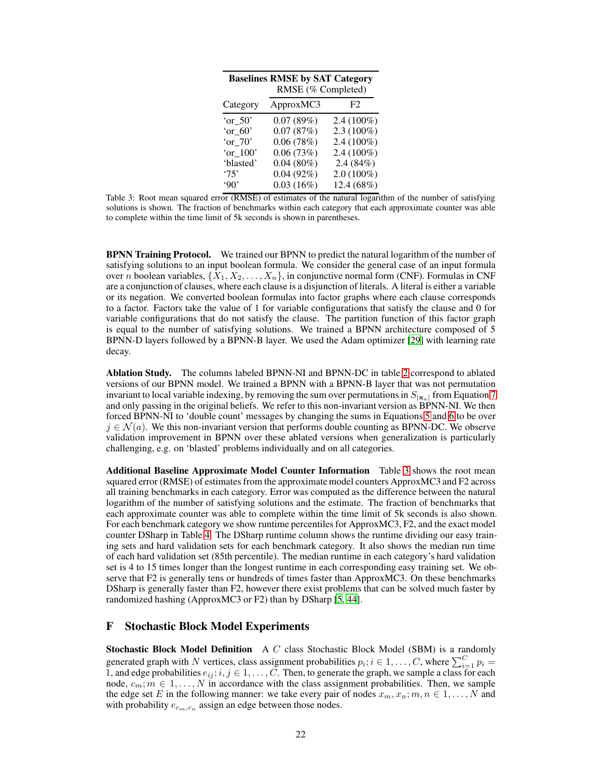<span id="page-21-1"></span>

| <b>Baselines RMSE by SAT Category</b><br>RMSE (% Completed) |              |              |  |
|-------------------------------------------------------------|--------------|--------------|--|
| Category                                                    | ApproxMC3    | F2           |  |
| 'or $50'$                                                   | 0.07(89%)    | $2.4(100\%)$ |  |
| 'or $60'$                                                   | 0.07(87%)    | $2.3(100\%)$ |  |
| 'or $70'$                                                   | 0.06(78%)    | $2.4(100\%)$ |  |
| 'or 100'                                                    | 0.06(73%)    | $2.4(100\%)$ |  |
| 'blasted'                                                   | $0.04(80\%)$ | 2.4(84%)     |  |
| '75'                                                        | 0.04(92%)    | $2.0(100\%)$ |  |
| 90'                                                         | 0.03(16%)    | 12.4 (68%)   |  |

Table 3: Root mean squared error (RMSE) of estimates of the natural logarithm of the number of satisfying solutions is shown. The fraction of benchmarks within each category that each approximate counter was able to complete within the time limit of 5k seconds is shown in parentheses.

BPNN Training Protocol. We trained our BPNN to predict the natural logarithm of the number of satisfying solutions to an input boolean formula. We consider the general case of an input formula over n boolean variables,  $\{X_1, X_2, \ldots, X_n\}$ , in conjunctive normal form (CNF). Formulas in CNF are a conjunction of clauses, where each clause is a disjunction of literals. A literal is either a variable or its negation. We converted boolean formulas into factor graphs where each clause corresponds to a factor. Factors take the value of 1 for variable configurations that satisfy the clause and 0 for variable configurations that do not satisfy the clause. The partition function of this factor graph is equal to the number of satisfying solutions. We trained a BPNN architecture composed of 5 BPNN-D layers followed by a BPNN-B layer. We used the Adam optimizer [\[29\]](#page-10-19) with learning rate decay.

Ablation Study. The columns labeled BPNN-NI and BPNN-DC in table [2](#page-20-0) correspond to ablated versions of our BPNN model. We trained a BPNN with a BPNN-B layer that was not permutation invariant to local variable indexing, by removing the sum over permutations in  $S_{|\mathbf{x}_a|}$  from Equation [7](#page-3-5) and only passing in the original beliefs. We refer to this non-invariant version as BPNN-NI. We then forced BPNN-NI to 'double count' messages by changing the sums in Equations [5](#page-2-2) and [6](#page-2-3) to be over  $j \in \mathcal{N}(a)$ . We this non-invariant version that performs double counting as BPNN-DC. We observe validation improvement in BPNN over these ablated versions when generalization is particularly challenging, e.g. on 'blasted' problems individually and on all categories.

Additional Baseline Approximate Model Counter Information Table [3](#page-21-1) shows the root mean squared error (RMSE) of estimates from the approximate model counters ApproxMC3 and F2 across all training benchmarks in each category. Error was computed as the difference between the natural logarithm of the number of satisfying solutions and the estimate. The fraction of benchmarks that each approximate counter was able to complete within the time limit of 5k seconds is also shown. For each benchmark category we show runtime percentiles for ApproxMC3, F2, and the exact model counter DSharp in Table [4.](#page-22-0) The DSharp runtime column shows the runtime dividing our easy training sets and hard validation sets for each benchmark category. It also shows the median run time of each hard validation set (85th percentile). The median runtime in each category's hard validation set is 4 to 15 times longer than the longest runtime in each corresponding easy training set. We observe that F2 is generally tens or hundreds of times faster than ApproxMC3. On these benchmarks DSharp is generally faster than F2, however there exist problems that can be solved much faster by randomized hashing (ApproxMC3 or F2) than by DSharp [\[5](#page-9-10), [44](#page-11-6)].

## <span id="page-21-0"></span>F Stochastic Block Model Experiments

**Stochastic Block Model Definition** A C class Stochastic Block Model (SBM) is a randomly generated graph with N vertices, class assignment probabilities  $p_i$ ;  $i \in 1, ..., C$ , where  $\sum_{i=1}^{C} p_i =$ 1, and edge probabilities  $e_{ij}$ ;  $i, j \in 1, \ldots, C$ . Then, to generate the graph, we sample a class for each node,  $c_m$ ;  $m \in 1, ..., N$  in accordance with the class assignment probabilities. Then, we sample the edge set E in the following manner: we take every pair of nodes  $x_m, x_n; m, n \in 1, \ldots, N$  and with probability  $e_{c_m,c_n}$  assign an edge between those nodes.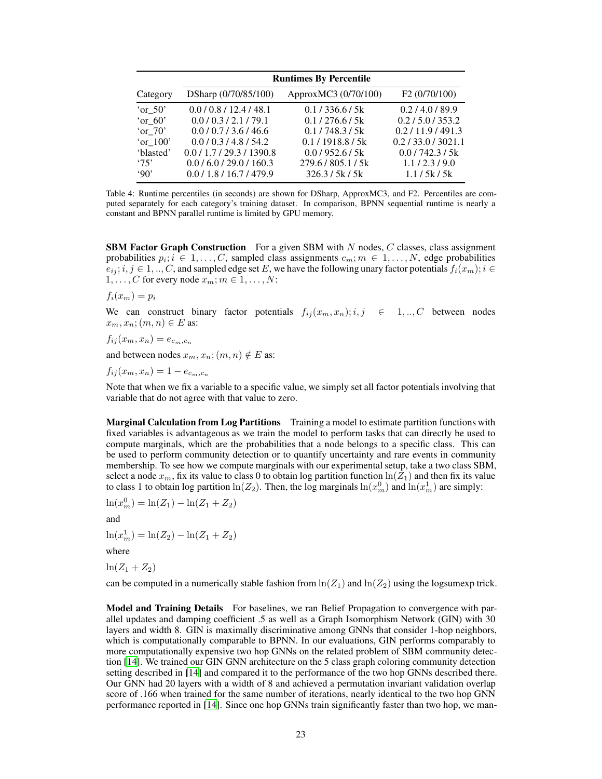<span id="page-22-0"></span>

|                        | <b>Runtimes By Percentile</b>                         |                                    |                                         |  |  |
|------------------------|-------------------------------------------------------|------------------------------------|-----------------------------------------|--|--|
| Category               | DSharp (0/70/85/100)                                  | ApproxMC3 (0/70/100)               | F <sub>2</sub> (0/70/100)               |  |  |
| 'or $50'$              | 0.0/0.8/12.4/48.1                                     | 0.1/336.6/5k                       | 0.2/4.0/89.9                            |  |  |
| 'or $60'$<br>'or $70'$ | 0.0 / 0.3 / 2.1 / 79.1<br>0.0/0.7/3.6/46.6            | 0.1/276.6/5k<br>0.1/748.3/5k       | 0.2 / 5.0 / 353.2<br>0.2 / 11.9 / 491.3 |  |  |
| 'or $100$ '            | 0.0/0.3/4.8/54.2                                      | 0.1/1918.8/5k                      | 0.2/33.0/3021.1                         |  |  |
| 'blasted'<br>'75'      | 0.0 / 1.7 / 29.3 / 1390.8<br>0.0 / 6.0 / 29.0 / 160.3 | 0.0/952.6/5k<br>279.6 / 805.1 / 5k | 0.01742.315k<br>1.1/2.3/9.0             |  |  |
| 90'                    | 0.0/1.8/16.7/479.9                                    | 326.3 / 5k / 5k                    | 1.1/5k/5k                               |  |  |

Table 4: Runtime percentiles (in seconds) are shown for DSharp, ApproxMC3, and F2. Percentiles are computed separately for each category's training dataset. In comparison, BPNN sequential runtime is nearly a constant and BPNN parallel runtime is limited by GPU memory.

**SBM Factor Graph Construction** For a given SBM with  $N$  nodes,  $C$  classes, class assignment probabilities  $p_i; i \in 1, \ldots, C$ , sampled class assignments  $c_m; m \in 1, \ldots, N$ , edge probabilities  $e_{ij}$ ;  $i, j \in 1, ..., C$ , and sampled edge set E, we have the following unary factor potentials  $f_i(x_m)$ ;  $i \in$  $1, \ldots, C$  for every node  $x_m$ ;  $m \in 1, \ldots, N$ :

 $f_i(x_m) = p_i$ 

We can construct binary factor potentials  $f_{ij}(x_m, x_n); i, j \in [1, ..., C]$  between nodes  $x_m, x_n$ ;  $(m, n) \in E$  as:

 $f_{ij}(x_m, x_n) = e_{c_m, c_n}$ 

and between nodes  $x_m, x_n$ ;  $(m, n) \notin E$  as:

 $f_{ij}(x_m, x_n) = 1 - e_{c_m, c_n}$ 

Note that when we fix a variable to a specific value, we simply set all factor potentials involving that variable that do not agree with that value to zero.

Marginal Calculation from Log Partitions Training a model to estimate partition functions with fixed variables is advantageous as we train the model to perform tasks that can directly be used to compute marginals, which are the probabilities that a node belongs to a specific class. This can be used to perform community detection or to quantify uncertainty and rare events in community membership. To see how we compute marginals with our experimental setup, take a two class SBM, select a node  $x_m$ , fix its value to class 0 to obtain log partition function  $\ln(Z_1)$  and then fix its value to class 1 to obtain log partition  $ln(Z_2)$ . Then, the log marginals  $ln(x_m^0)$  and  $ln(x_m^1)$  are simply:

$$
\ln(x_m^0) = \ln(Z_1) - \ln(Z_1 + Z_2)
$$

and

 $\ln(x_m^1) = \ln(Z_2) - \ln(Z_1 + Z_2)$ 

where

 $ln(Z_1 + Z_2)$ 

can be computed in a numerically stable fashion from  $\ln(Z_1)$  and  $\ln(Z_2)$  using the logsumexp trick.

Model and Training Details For baselines, we ran Belief Propagation to convergence with parallel updates and damping coefficient .5 as well as a Graph Isomorphism Network (GIN) with 30 layers and width 8. GIN is maximally discriminative among GNNs that consider 1-hop neighbors, which is computationally comparable to BPNN. In our evaluations, GIN performs comparably to more computationally expensive two hop GNNs on the related problem of SBM community detection [\[14](#page-9-6)]. We trained our GIN GNN architecture on the 5 class graph coloring community detection setting described in [\[14\]](#page-9-6) and compared it to the performance of the two hop GNNs described there. Our GNN had 20 layers with a width of 8 and achieved a permutation invariant validation overlap score of .166 when trained for the same number of iterations, nearly identical to the two hop GNN performance reported in [\[14](#page-9-6)]. Since one hop GNNs train significantly faster than two hop, we man-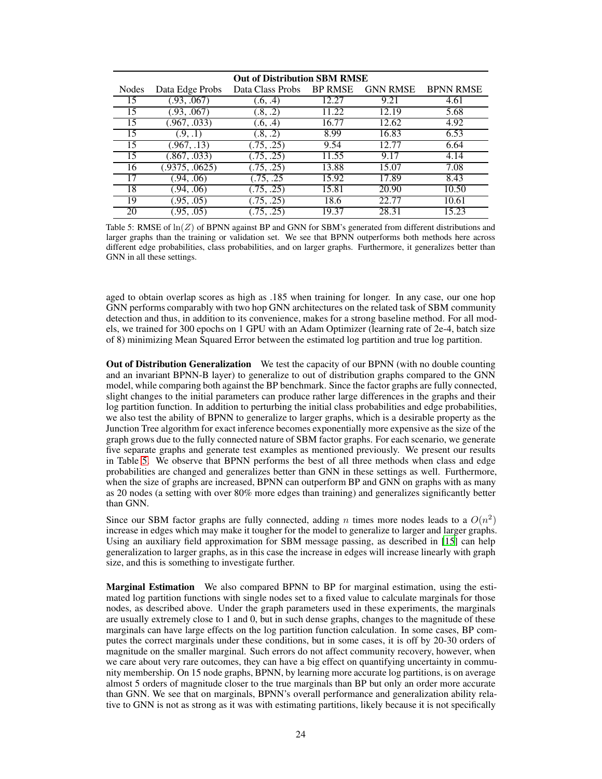<span id="page-23-0"></span>

| <b>Out of Distribution SBM RMSE</b> |                 |                  |                |                 |                  |
|-------------------------------------|-----------------|------------------|----------------|-----------------|------------------|
| Nodes                               | Data Edge Probs | Data Class Probs | <b>BP RMSE</b> | <b>GNN RMSE</b> | <b>BPNN RMSE</b> |
| 15                                  | .93, .067       | (6, .4)          | 12.27          | 9.21            | 4.61             |
| 15                                  | .93, .067       | (0.8, 0.2)       | 11.22          | 12.19           | 5.68             |
| 15                                  | .967, .033)     | (0.6, .4)        | 16.77          | 12.62           | 4.92             |
| 15                                  | (9, .1)         | (0.8, 0.2)       | 8.99           | 16.83           | 6.53             |
| 15                                  | (0.967, .13)    | .75, .25)        | 9.54           | 12.77           | 6.64             |
| 15                                  | 0.867, 0.033    | .75, .25)        | 11.55          | 9.17            | 4.14             |
| 16                                  | .9375, .0625)   | .75, .25         | 13.88          | 15.07           | 7.08             |
| 17                                  | .94, .06        | .75, .25         | 15.92          | 17.89           | 8.43             |
| 18                                  | .94, .06        | .75, .25)        | 15.81          | 20.90           | 10.50            |
| 19                                  | .95, .05)       | .75, .25)        | 18.6           | 22.77           | 10.61            |
| 20                                  | .95, .05)       | .75, .25)        | 19.37          | 28.31           | 15.23            |

Table 5: RMSE of  $\ln(Z)$  of BPNN against BP and GNN for SBM's generated from different distributions and larger graphs than the training or validation set. We see that BPNN outperforms both methods here across different edge probabilities, class probabilities, and on larger graphs. Furthermore, it generalizes better than GNN in all these settings.

aged to obtain overlap scores as high as .185 when training for longer. In any case, our one hop GNN performs comparably with two hop GNN architectures on the related task of SBM community detection and thus, in addition to its convenience, makes for a strong baseline method. For all models, we trained for 300 epochs on 1 GPU with an Adam Optimizer (learning rate of 2e-4, batch size of 8) minimizing Mean Squared Error between the estimated log partition and true log partition.

Out of Distribution Generalization We test the capacity of our BPNN (with no double counting and an invariant BPNN-B layer) to generalize to out of distribution graphs compared to the GNN model, while comparing both against the BP benchmark. Since the factor graphs are fully connected, slight changes to the initial parameters can produce rather large differences in the graphs and their log partition function. In addition to perturbing the initial class probabilities and edge probabilities, we also test the ability of BPNN to generalize to larger graphs, which is a desirable property as the Junction Tree algorithm for exact inference becomes exponentially more expensive as the size of the graph grows due to the fully connected nature of SBM factor graphs. For each scenario, we generate five separate graphs and generate test examples as mentioned previously. We present our results in Table [5.](#page-23-0) We observe that BPNN performs the best of all three methods when class and edge probabilities are changed and generalizes better than GNN in these settings as well. Furthermore, when the size of graphs are increased, BPNN can outperform BP and GNN on graphs with as many as 20 nodes (a setting with over 80% more edges than training) and generalizes significantly better than GNN.

Since our SBM factor graphs are fully connected, adding n times more nodes leads to a  $O(n^2)$ increase in edges which may make it tougher for the model to generalize to larger and larger graphs. Using an auxiliary field approximation for SBM message passing, as described in [\[15\]](#page-10-21) can help generalization to larger graphs, as in this case the increase in edges will increase linearly with graph size, and this is something to investigate further.

Marginal Estimation We also compared BPNN to BP for marginal estimation, using the estimated log partition functions with single nodes set to a fixed value to calculate marginals for those nodes, as described above. Under the graph parameters used in these experiments, the marginals are usually extremely close to 1 and 0, but in such dense graphs, changes to the magnitude of these marginals can have large effects on the log partition function calculation. In some cases, BP computes the correct marginals under these conditions, but in some cases, it is off by 20-30 orders of magnitude on the smaller marginal. Such errors do not affect community recovery, however, when we care about very rare outcomes, they can have a big effect on quantifying uncertainty in community membership. On 15 node graphs, BPNN, by learning more accurate log partitions, is on average almost 5 orders of magnitude closer to the true marginals than BP but only an order more accurate than GNN. We see that on marginals, BPNN's overall performance and generalization ability relative to GNN is not as strong as it was with estimating partitions, likely because it is not specifically